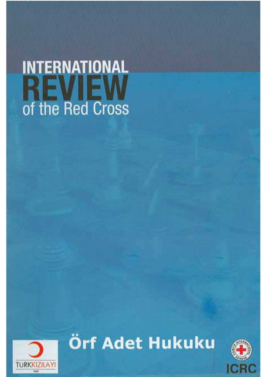# **INTERNATIONAL REVIEW**<br>of the Red Cross



Örf Adet Hukuku

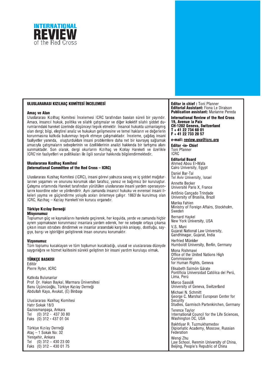

#### ULUSLARARASI KIZILHAÇ KOMİTESİ İNCELEMESİ

#### **Amaç ve Alan**

Uluslararası Kızılhac Komitesi İncelemesi ICRC tarafından basılan süreli bir yayındır. Amacı, insancıl hukuk, politika ve silahlı catısmalar ve diğer kolektif silahlı siddet durumlarındaki hareket üzerinde düşünceyi teşvik etmektir. İnsancıl hukukta uzmanlaşmış olan dergi; bilgi, eleştirel analiz ve hukukun gelişmesine ve temel hakların ve değerlerin korunmasına katkıda bulunmayı tesvik etmeye calısmaktadır. İnceleme, cağdas insani faaliyetler vanında, oluşturdukları insani problemlere daha net bir kayrayıs sağlamak amacıyla çatışmaların sebeplerinin ve özelliklerinin analizi hakkında bir tartışma alanı sunmaktadır. Son olarak, dergi okurlarını Kızılhaç ve Kızılay Hareketi ve özellikle ICRC'nin faaliyetleri ve politikaları ile ilgili sorular hakkında bilgilendirmektedir.

#### **Uluslararası Kızılhaç Komitesi** (International Committee of the Red Cross - ICRC)

Uluslararası Kızılhaç Komitesi (ICRC), insani görevi yalnızca savaş ve iç şiddet mağdurlarının yaşamını ve onurunu korumak olan tarafsız, yansız ve bağımsız bir kuruluştur. Catisma ortamında Hareket tarafından vürütülen uluslararası insani vardım operasyonlarını koordine eder ve yönlendirir. Aynı zamanda insancıl hukuku ve evrensel insani ilkeleri vavma ve güclendirme voluyla acıları önlemeye çalışır. 1863'de kurulmuş olan ICRC, Kızılhac - Kızılay Hareketi'nin kurucu organıdır.

#### **Türkive Kızılav Derneği Misvonumuz**

Toplumun güç ve kaynaklarını harekete geçirerek, her koşulda, yerde ve zamanda hiçbir avrim vapmaksızın korunmasız insanlara yardım ederek, her ne sebeple ortaya çıkarsa çıksın insan ıstırabını dindirmek ve insanlar arasındaki karşılıklı anlayışı, dostluğu, saygıyı, barışı ve işbirliğini geliştirerek insan onurunu korumaktır.

#### **Vizyonumuz**

Tüm toplumu kucaklayan ve tüm toplumun kucakladığı, ulusal ve uluslararası düzeyde savgınlığını ve hizmet kalitesini sürekli geliştiren bir insani vardım kurulusu olmak.

#### **TÜRKCE BASKISI**

Editör Pierre Ryter, ICRC

Katkıda Bulunanlar Prof. Dr. Hakan Baykal, Marmara Üniversitesi Banu Üçüncüoğlu, Türkiye Kızılay Derneği Abdullan Kaya, Avukat, (E) Binbaşı

Uluslararası Kızılhac Komitesi Hatır Sokak 18/3 Gaziosmanpaşa, Ankara Tel (0) 312 - 437 30 80 Faks (0) 312 - 437 01 04

Türkiye Kızılay Derneği Atac - 1 Sokak No: 32 Yenisehir, Ankara Tel  $(0)$  312 - 430 23 00 Faks  $(0)$  312 - 430 01 75 Editor in chief : Toni Pfanner **Editorial Assistant: Fiona Le Diraison Publication assistant: Marianne Pereda** 

**International Review of the Red Cross** 19, Avenue la Paix **CH-1202 Geneva, Switzerland**  $T + 41 22 734 60 01$ F + 41 22 733 20 57

e-mail: review.gva@icrc.org

Editor -in- Chief Toni Pfanner **ICRC** 

**Editorial Board** Ahmed Abou El-Wafa Cairo University, Egypt

Daniel Bar-Tal Tel Aviv University, Israel

Annette Becker Université Paris X, France

Antônio Cançado Trindade University of Brasilia, Brazil

Marika Fahlen Ministry of Foreign Affairs, Stockholm, Sweden

**Bernard Haykel** New York University, USA

V.S. Mani Gujarat National Law University, Gandhinagar, Gujarat, India

Herfried Münkler Humboldt University, Berlin, Germany

Mona Rishmawi Office of the United Nations High Commisioner for Human Rights, Geneva

Elisabeth Salmón Gárate Pontificia Universidad Católica del Perú, Lima, Perú

Marco Sassòli University of Geneva, Switzerland

Michael N. Schmitt George C. Marshall European Center for Security Studies, Garmisch Partenkirchen, Germany **Terence Taylor** 

International Council for the Life Sciences, Washington DC, USA

Bakhtiyar R. Tuzmukhamedov Diplomatic Academy, Moscow, Russian Federation Wenai Zhu

Law School. Renmin University of China. Beijing, People's Republic of China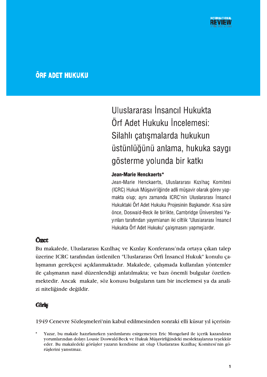# **ÖRF ADET HUKUKU**

Uluslararası İnsancıl Hukukta Örf Adet Hukuku İncelemesi: Silahlı çatışmalarda hukukun üstünlüğünü anlama, hukuka saygı gösterme yolunda bir katkı

#### Jean-Marie Henckaerts\*

Jean-Marie Henckaerts, Uluslararası Kızılhaç Komitesi (ICRC) Hukuk Müşavirliğinde adli müşavir olarak görev yapmakta olup; aynı zamanda ICRC'nin Uluslararası İnsancıl Hukuktaki Örf Adet Hukuku Projesinin Başkanıdır. Kısa süre önce, Doswald-Beck ile birlikte, Cambridge Üniversitesi Yayınları tarafından yayımlanan iki ciltlik "Uluslararası İnsancıl Hukukta Örf Adet Hukuku" çalışmasını yapmışlardır.

# Özet

Bu makalede, Uluslararası Kızılhaç ve Kızılay Konferansı'nda ortaya çıkan talep üzerine ICRC tarafından üstlenilen "Uluslararası Örfi İnsancıl Hukuk" konulu çalışmanın gerekçesi açıklanmaktadır. Makalede, çalışmada kullanılan yöntemler ile çalışmanın nasıl düzenlendiği anlatılmakta; ve bazı önemli bulgular özetlenmektedir. Ancak makale, söz konusu bulguların tam bir incelemesi ya da analizi niteliğinde değildir.

#### Giriş

1949 Cenevre Sözlesmeleri'nin kabul edilmesinden sonraki elli küsur yıl içerisin-

Yazar, bu makale hazırlanırken yardımlarını esirgemeyen Eric Mongelard ile içerik kazandıran yorumlarından dolayı Lousie Doswald-Beck ve Hukuk Müşavirliğindeki meslektaşlarına teşekkür eder. Bu makaledeki görüşler yazarın kendisine ait olup Uluslararası Kızılhaç Komitesi'nin görüşlerini yansıtmaz.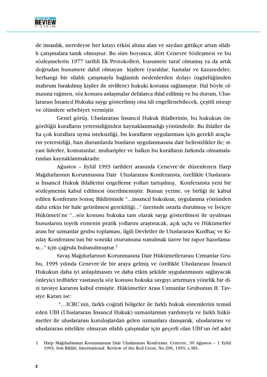

de insanlık, neredeyse her kıtayı etkisi altına alan ve sayıları gittikçe artan silahli çatışmalara tanık olmuştur. Bu süre boyunca, dört Cenevre Sözleşmesi ve bu sözlesmelerin 1977 tarihli Ek Protokolleri, husumete taraf olmamıs va da artık doğrudan husumete dahil olmayan kişilere (yaralılar, hastalar ve kazazedeler, herhangi bir silahlı çatışmayla bağlantılı nedenlerden dolayı özgürlüğünden mahrum bırakılmış kişiler ile sivillere) hukuki koruma sağlamıştır. Hal böyle olmasına rağmen, söz konusu anlaşmalar defalarca ihlal edilmiş ve bu durum, Uluslararası İnsancıl Hukuka saygı gösterilmiş olsa idi engellenebilecek, çeşitli ıstırap ve ölümlere sebebiyet vermiştir.

Genel görüş, Uluslararası İnsancıl Hukuk ihlallerinin, bu hukukun öngördüğü kuralların yetersizliğinden kaynaklanmadığı yönündedir. Bu ihlaller daha çok kurallara uyma isteksizliği, bu kuralların uygulanması için gerekli araçların yetersizliği, bazı durumlarda bunların uygulanmasına dair belirsizlikler ile; siyasi liderler, komutanlar, muharipler ve halkın bu kuralların farkında olmamalarından kaynaklanmaktadır.

Ağustos - Eylül 1993 tarihleri arasında Cenevre'de düzenlenen Harp Mağdurlarının Korunmasına Dair Uluslararası Konferansta, özellikle Uluslararasi İnsancıl Hukuk ihlallerini engelleme yolları tartışılmış, Konferansta yeni bir sözleşmenin kabul edilmesi önerilmemiştir. Bunun yerine, oy birliği ile kabul edilen Konferans Sonuç Bildirisinde "...insancıl hukukun, uygulanma yönünden daha etkin bir hale getirilmesi gerekliliği..." üzerinde ısrarla durulmuş ve İsviçre Hükümeti'ne "...söz konusu hukuka tam olarak saygı gösterilmesi ile uyulması hususlarını teşvik etmenin pratik yollarını araştıracak, açık uçlu ve Hükümetler arası bir uzmanlar grubu toplaması, ilgili Devletler ile Uluslararası Kızılhaç ve Kızılay Konferansı'nın bir sonraki oturumuna sunulmak üzere bir rapor hazırlamasi..." için çağrıda bulunulmuştur.<sup>1</sup>

Savaş Mağdurlarının Korunmasına Dair Hükümetlerarası Uzmanlar Grubu, 1995 yılında Cenevre'de bir araya gelmiş ve özellikle Uluslararası İnsancıl Hukukun daha iyi anlaşılmasını ve daha etkin şekilde uygulanmasını sağlayacak önleyici tedbirler vasıtasıyla söz konusu hukuka saygıyı artırmaya yönelik bir dizi tavsiye kararını kabul etmiştir. Hükümetler Arası Uzmanlar Grubunun II. Tavsiye Kararı ise:

"...ICRC'nin, farklı coğrafi bölgeler ile farklı hukuk sistemlerini temsil eden UİH (Uluslararası İnsancıl Hukuk) uzmanlarının yardımıyla ve farklı hükümetler ile uluslararası kuruluşlardan gelen uzmanlara danışarak, uluslararası ve uluslararası nitelikte olmayan silahlı çatışmalar için geçerli olan UİH'un örf adet

Harp Mağdurlarının Korunmasına Dair Uluslararası Konferans, Cenevre, 30 Ağustos - 1 Eylül  $\mathbf{1}$ 1993, Son Bildiri, International Review of the Red Cross, No.296, 1993, s.381.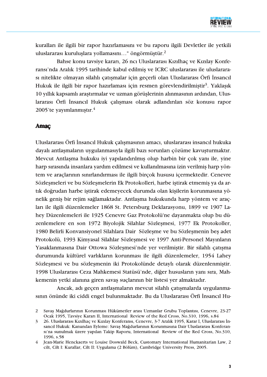

kuralları ile ilgili bir rapor hazırlamasını ve bu raporu ilgili Devletler ile yetkili uluslararası kuruluşlara yollamasını..." öngörmüştür.<sup>2</sup>

Bahse konu tavsive kararı, 26 ncı Uluslararası Kızılhac ve Kızılav Konferansı'nda Aralık 1995 tarihinde kabul edilmiş ve ICRC uluslararası ile uluslararası nitelikte olmayan silahlı çatışmalar için geçerli olan Uluslararası Örfi İnsancıl Hukuk ile ilgili bir rapor hazırlaması için resmen görevlendirilmiştir<sup>3</sup>. Yaklaşık 10 yıllık kapsamlı araştırmalar ve uzman görüşlerinin alınmasının ardından, Uluslararası Örfi İnsancıl Hukuk çalışması olarak adlandırılan söz konusu rapor 2005'te yayımlanmıştır.<sup>4</sup>

#### **Amac**

Uluslararası Örfi İnsancıl Hukuk çalışmasının amacı, uluslararası insancıl hukuka dayalı antlaşmaların uygulanmasıyla ilgili bazı sorunları çözüme kavuşturmaktır. Mevcut Antlaşma hukuku iyi yapılandırılmış olup harbin bir çok yanı ile, yine harp sırasında insanlara yardım edilmesi ve kullanılmasına izin verilmiş harp yöntem ve araçlarının sınırlandırması ile ilgili birçok hususu içermektedir. Cenevre Sözleşmeleri ve bu Sözleşmelerin Ek Protokolleri, harbe iştirak etmemiş ya da artık doğrudan harbe iştirak edemeyecek durumda olan kişilerin korunmasına yönelik geniş bir rejim sağlamaktadır. Antlaşma hukukunda harp yöntem ve araçları ile ilgili düzenlemeler 1868 St. Petersburg Deklarasyonu, 1899 ve 1907 Lahey Düzenlemeleri ile 1925 Cenevre Gaz Protokolü'ne dayanmakta olup bu düzenlemelere en son 1972 Biyolojik Silahlar Sözleşmesi, 1977 Ek Protokoller, 1980 Belirli Konvansiyonel Silahlara Dair Sözleşme ve bu Sözleşmenin beş adet Protokolü, 1993 Kimyasal Silahlar Sözlesmesi ve 1997 Anti-Personel Mayınların Yasaklanmasına Dair Ottowa Sözleşmesi'nde yer verilmiştir. Bir silahlı çatışma durumunda kültürel varlıkların korunması ile ilgili düzenlemeler, 1954 Lahey Sözleşmesi ve bu sözleşmenin iki Protokolünde detaylı olarak düzenlenmiştir. 1998 Uluslararası Ceza Mahkemesi Statüsü'nde, diğer hususların yanı sıra, Mahkemenin yetki alanına giren savaş suçlarının bir listesi yer almaktadır.

Ancak, adı geçen antlaşmaların mevcut silahlı çatışmalarda uygulanmasının önünde iki ciddi engel bulunmaktadır. Bu da Uluslararası Örfi İnsancıl Hu-

Savaş Mağdurlarının Korunması Hükümetler arası Uzmanlar Grubu Toplantısı, Cenevre, 23-27 2 Ocak 1995, Tavsiye Kararı II, International Review of the Red Cross, No.310, 1996, s.84

 $\overline{3}$ 26. Uluslararası Kızılhaç ve Kızılay Konferansı, Cenevre, 3-7 Aralık 1995, Karar I, Uluslararası İnsancıl Hukuk: Kanundan Evleme: Savas Mağdurlarının Korunmasına Dair Uluslararası Konferansi'na sunulmak üzere yapılan Takip Raporu, International Review of the Red Cross, No.310. 1996. s.58

Jean-Marie Henckaerts ve Louise Doswald Beck, Customary International Humanitarian Law, 2  $\overline{4}$ cilt, Cilt I: Kurallar, Cilt II: Uygulama (2 Bölüm), Cambridge University Press, 2005.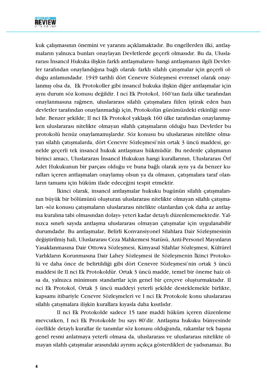

kuk çalışmasının önemini ve yararını açıklamaktadır. Bu engellerden ilki, antlaşmaların yalnızca bunları onaylayan Devletlerde geçerli olmasıdır. Bu da, Uluslararası İnsancıl Hukuka iliskin farklı antlasmaların- hangi antlasmanın ilgili Devletler tarafından onaylandığına bağlı olarak- farklı silahlı çatışmalar için geçerli olduğu anlamındadır. 1949 tarihli dört Cenevre Sözleşmesi evrensel olarak onaylanmış olsa da, Ek Protokoller gibi insancıl hukuka ilişkin diğer antlaşmalar için aynı durum söz konusu değildir. I nci Ek Protokol, 160'tan fazla ülke tarafından onaylanmasına rağmen, uluslararası silahlı çatışmalara fiilen iştirak eden bazı devletler tarafından onaylanmadığı için, Protokolün günümüzdeki etkinliği sınırlidir. Benzer şekilde; II nci Ek Protokol yaklaşık 160 ülke tarafından onaylanmışken uluslararası nitelikte olmayan silahlı çatışmaların olduğu bazı Devletler bu protokolü henüz onaylamamışlardır. Söz konusu bu uluslararası nitelikte olmayan silahlı çatışmalarda, dört Cenevre Sözleşmesi'nin ortak 3 üncü maddesi, genelde geçerli tek insancıl hukuk antlaşması hükmüdür. Bu nedenle çalışmanın birinci amacı, Uluslararası İnsancıl Hukukun hangi kurallarının, Uluslararası Örf Adet Hukukunun bir parçası olduğu ve buna bağlı olarak aynı ya da benzer kuralları içeren antlasmaları onaylamış olsun ya da olmasın, çatısmalara taraf olanların tamamı için hüküm ifade edeceğini tespit etmektir.

İkinci olarak, insancıl antlaşmalar hukuku bugünün silahlı çatışmalarının büyük bir bölümünü oluşturan uluslararası nitelikte olmayan silahlı çatışmaları -söz konusu çatışmaların uluslararası nitelikte olanlardan çok daha az antlaşma kuralına tabi olmasından dolayı- yeteri kadar detaylı düzenlememektedir. Yalnızca sınırlı sayıda antlaşma uluslararası olmayan çatışmalar için uygulanabilir durumdadır. Bu antlaşmalar, Belirli Konvansiyonel Silahlara Dair Sözleşmesinin değiştirilmiş hali, Uluslararası Ceza Mahkemesi Statüsü, Anti-Personel Mayınların Yasaklanmasına Dair Ottowa Sözlesmesi, Kimyasal Silahlar Sözlesmesi, Kültürel Varlıkların Korunmasına Dair Lahey Sözleşmesi ile Sözleşmenin İkinci Protokolü ve daha önce de belirtildiği gibi dört Cenevre Sözleşmesi'nin ortak 3 üncü maddesi ile II nci Ek Protokoldür. Ortak 3 üncü madde, temel bir öneme haiz olsa da, yalnızca minimum standartlar için genel bir çerçeve oluşturmaktadır. II nci Ek Protokol, Ortak 3 üncü maddeyi yeterli şekilde desteklemekle birlikte, kapsamı itibariyle Cenevre Sözlesmeleri ve I nci Ek Protokole konu uluslararası silahlı çatışmalara ilişkin kurallara kıyasla daha kısıtlıdır.

II nci Ek Protokolde sadece 15 tane maddi hüküm içeren düzenleme mevcutken, I nci Ek Protokolde bu sayı 80'dir. Antlaşma hukuku bünyesinde özellikle detaylı kurallar ile tanımlar söz konusu olduğunda, rakamlar tek başına genel resmi anlatmaya yeterli olmasa da, uluslararası ve uluslararası nitelikte olmayan silahlı çatışmalar arasındaki ayrımı açıkça gösterdikleri de yadsınamaz. Bu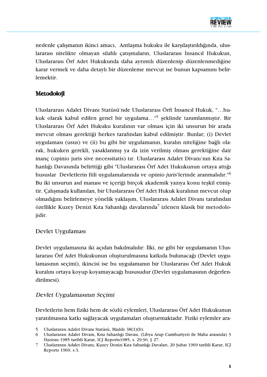

nedenle çalışmanın ikinci amacı, Antlaşma hukuku ile karşılaştırıldığında, uluslararası nitelikte olmayan silahlı çatışmaların, Uluslararası İnsancıl Hukukun, Uluslararası Örf Adet Hukukunda daha avrıntılı düzenlenip düzenlenmediğine karar vermek ve daha detaylı bir düzenleme mevcut ise bunun kapsamını belirlemektir.

# **Metodoloji**

Uluslararası Adalet Divanı Statüsü'nde Uluslararası Örfi İnsancıl Hukuk, "...hukuk olarak kabul edilen genel bir uygulama..."<sup>5</sup> şeklinde tanımlanmıştır. Bir Uluslararası Örf Adet Hukuku kuralının var olması için iki unsurun bir arada mevcut olması gerektiği herkes tarafından kabul edilmiştir. Bunlar; (i) Devlet uygulaması (usus) ve (ii) bu gibi bir uygulamanın, kuralın niteliğine bağlı olarak, hukuken gerekli, yasaklanmış ya da izin verilmiş olması gerektiğine dair inanç (opinio juris sive necessitatis) tır. Uluslararası Adalet Divanı'nın Kıta Sahanlığı Davasında belirttiği gibi "Uluslararası Örf Adet Hukukunun ortaya attığı hususlar Devletlerin fiili uygulamalarında ve opinio juris'lerinde aranmalıdır."<sup>6</sup> Bu iki unsurun asıl manası ve içeriği birçok akademik yazıya konu teşkil etmiştir. Çalışmada kullanılan, bir Uluslararası Örf Adet Hukuk kuralının mevcut olup olmadığını belirlemeye yönelik yaklaşım, Uluslararası Adalet Divanı tarafından özellikle Kuzey Denizi Kıta Sahanlığı davalarında<sup>7</sup> izlenen klasik bir metodolojidir.

# Devlet Uygulaması

Devlet uygulamasına iki açıdan bakılmalıdır: İlki, ne gibi bir uygulamanın Uluslararası Örf Adet Hukukunun oluşturulmasına katkıda bulunacağı (Devlet uygulamasının seçimi), ikincisi ise bu uygulamanın bir Uluslararası Örf Adet Hukuk kuralını ortaya koyup koyamayacağı hususudur (Devlet uygulamasının değerlendirilmesi).

# Devlet Uygulamasının Seçimi

Devletlerin hem fiziki hem de sözlü eylemleri, Uluslararası Örf Adet Hukukunun yaratılmasına katkı sağlayacak uygulamaları oluşturmaktadır. Fiziki eylemler ara-

Uluslararası Adalet Divanı Statüsü, Madde 38(1)(b).  $5<sup>1</sup>$ 

Uluslararası Adalet Divanı, Kıta Sahanlığı Davası, (Libya Arap Cumhuriyeti ile Malta arasında) 3 6 Haziran 1985 tarihli Karar, ICJ Reports1985, s. 29-30, § 27.

Uluslararası Adalet Divanı, Kuzey Denizi Kıta Sahanlığı Davaları, 20 Şubat 1969 tarihli Karar, ICJ  $\overline{7}$ Reports 1969, s.3.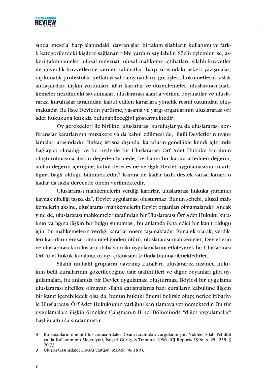

sında, mesela, harp alanındaki davranışlar, birtakım silahların kullanımı ve farklı kategorilerdeki kişilere sağlanan tıbbi yardım sayılabilir. Sözlü eylemler ise, askeri talimnameler, ulusal mevzuat, ulusal mahkeme ictihatları, silahlı kuvvetler ile güvenlik kuvvetlerine verilen talimatlar, harp sırasındaki askeri yazışmalar, diplomatik protestolar, yetkili yasal danışmanların görüşleri, hükümetlerin taslak antlaşmalara ilişkin yorumları, idari kararlar ve düzenlemeler, uluslararası mahkemeler nezdindeki savunmalar, uluslararası alanda verilen beyanatlar ve uluslararası kuruluşlar tarafından kabul edilen kararlara yönelik resmi tutumdan oluşmaktadır. Bu liste Devletin yürütme, yasama ve yargı organlarının uluslararası örf adet hukukuna katkıda bulunabileceğini göstermektedir.

Oy gerekçeleri ile birlikte, uluslararası kuruluşlar ya da uluslararası konferanslar kararlarının müzakere ya da kabul edilmesi de, ilgili Devletlerin uygulamaları arasındadır. Birkaç istisna dışında, kararların genellikle kendi içlerinde bağlayıcı olmadığı ve bu nedenle bir Uluslararası Örf Adet Hukuku kuralının oluşturulmasına ilişkin değerlendirmede, herhangi bir karara atfedilen değerin, anılan değerin içeriğine, kabul derecesine ve ilgili Devlet uygulamasının tutarlılığına bağlı olduğu bilinmektedir.<sup>8</sup> Karara ne kadar fazla destek varsa, karara o kadar da fazla derecede önem verilmektedir.

Uluslararası mahkemelerin verdiği kararlar, uluslararası hukuka yardımcı kaynak niteliği tasısa da<sup>9</sup>, Devlet uygulaması oluşturmaz. Bunun sebebi, ulusal mahkemelerin aksine, uluslararası mahkemelerin Devlet organları olmamalarıdır. Ancak yine de, uluslararası mahkemeler tarafından bir Uluslararası Örf Adet Hukuku kuralının varlığına ilişkin bir bulgu sunulması, bu anlamda ikna edici bir kanıt olduğu için, bu mahkemelerin verdiği kararlar önem taşımaktadır. Buna ek olarak, verdikleri kararların emsal olma niteliğinden ötürü, uluslararası mahkemeler, Devletlerin ve uluslararası kurulusların daha sonraki uygulamalarını etkileyerek bir Uluslararası Örf Adet hukuk kuralının ortaya çıkmasına katkıda bulunabilmektedirler.

Silahlı muhalif grupların davranış kuralları, uluslararası insancıl hukukun belli kurallarının gözetileceğine dair taahhütleri ve diğer beyanları gibi uygulamaları, bu anlamda bir Devlet uygulaması oluşturmaz. Böylesi bir uygulama uluslararası nitelikte olmayan silahlı çatışmalarda bazı kuralların kabulüne ilişkin bir kanıt içerebilecek olsa da, bunun hukuki önemi belirsiz olup; netice itibariyle Uluslararası Örf Adet Hukukunun varlığını kanıtlamaya yetmemektedir. Bu tür uygulamalara ilişkin örnekler Çalışmanın II nci Bölümünde "diğer uygulamalar" başlığı altında sıralanmıştır.

Bu kosulların önemi Uluslararası Adalet Divanı tarafından vurgulanmıştır. Nükleer Silah Tehdidi 8 ya da Kullanımının Mesruiyeti, İstişari Görüş, 8 Temmuz 1996. ICJ Reports 1996, s. 254-255, § 70-73.

Uluslararası Adalet Divanı Statüsü, Madde 38(1)(d). 9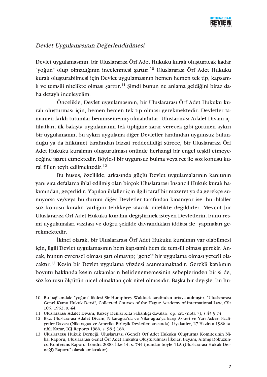

# Devlet Uygulamasının Değerlendirilmesi

Devlet uygulamasının, bir Uluslararası Örf Adet Hukuku kuralı oluşturacak kadar "yoğun" olup olmadığının incelenmesi şarttır.<sup>10</sup> Uluslararası Örf Adet Hukuku kuralı oluşturabilmesi için Devlet uygulamasının hemen hemen tek tip, kapsamlı ve temsili nitelikte olması şarttır.<sup>11</sup> Şimdi bunun ne anlama geldiğini biraz daha detaylı inceleyelim.

Öncelikle, Devlet uygulamasının, bir Uluslararası Örf Adet Hukuku kuralı oluşturması için, hemen hemen tek tip olması gerekmektedir. Devletler tamamen farklı tutumlar benimsememiş olmalıdırlar. Uluslararası Adalet Divanı içtihatları, ilk bakışta uygulamanın tek tipliğine zarar verecek gibi görünen aykırı bir uygulamanın, bu aykırı uygulama diğer Devletler tarafından uygunsuz bulunduğu ya da hükümet tarafından bizzat reddedildiği sürece, bir Uluslararası Örf Adet Hukuku kuralının oluşturulması önünde herhangi bir engel teşkil etmeyeceğine işaret etmektedir. Böylesi bir uygunsuz bulma veya ret ile söz konusu kural fiilen teyit edilmektedir.<sup>12</sup>

Bu husus, özellikle, arkasında güçlü Devlet uygulamalarının kanıtının yanı sıra defalarca ihlal edilmiş olan birçok Uluslararası İnsancıl Hukuk kuralı bakımından, geçerlidir. Yapılan ihlaller için ilgili taraf bir mazeret ya da gerekçe sunuyorsa ve/veya bu durum diğer Devletler tarafından kınanıyor ise, bu ihlaller söz konusu kuralın varlığını tehlikeye atacak nitelikte değildirler. Mevcut bir Uluslararası Örf Adet Hukuku kuralını değiştirmek isteyen Devletlerin, bunu resmi uygulamaları vasıtası ve doğru şekilde davrandıkları iddiası ile yapmaları gerekmektedir.

İkinci olarak, bir Uluslararası Örf Adet Hukuku kuralının var olabilmesi için, ilgili Devlet uygulamasının hem kapsamlı hem de temsili olması gerekir. Ancak, bunun evrensel olması şart olmayıp; "genel" bir uygulama olması yeterli olacaktır.<sup>13</sup> Kesin bir Devlet uygulama yüzdesi aranmamaktadır. Gerekli katılımın boyutu hakkında kesin rakamların belirlenememesinin sebeplerinden birisi de, söz konusu ölçütün nicel olmaktan çok nitel olmasıdır. Başka bir deyişle, bu hu-

<sup>10</sup> Bu bağlamdaki "yoğun" ifadesi Sir Humphrey Waldock tarafından ortaya atılmıstır. "Uluslararası Genel Kamu Hukuk Dersi", Collected Courses of the Hague Academy of International Law, Cilt 106, 1962, s. 44.

<sup>11</sup> Uluslararası Adalet Divanı, Kuzey Denizi Kıta Sahanlığı davaları, op. cit. (nota 7), s.43 § 74

<sup>12</sup> Bkz. Uluslararası Adalet Divanı, Nikaragua'da ve Nikaragua'ya karşı Askeri ve Yarı Askeri Faaliyetler Davası (Nikaragua ve Amerika Birleşik Devletleri arasında). Liyakatler, 27 Haziran 1986 tarihli Karar, ICJ Reports 1986, s. 98 § 186.

<sup>13</sup> Uluslararası Hukuk Derneği, Uluslararası (Genel) Örf Adet Hukuku Olusturma Komitesinin Nihai Raporu, Uluslararası Genel Örf Adet Hukuku Olusturulması İlkeleri Beyanı, Altmıs Dokuzuncu Konferans Raporu, Londra 2000, İlke 14, s. 734 (bundan böyle "ILA (Uluslararası Hukuk Derneği) Raporu" olarak anılacaktır).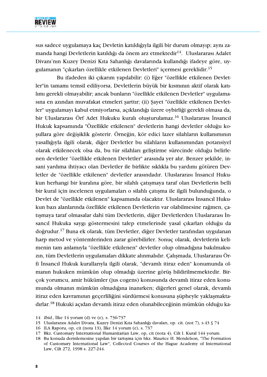

sus sadece uygulamaya kaç Devletin katıldığıyla ilgili bir durum olmayıp; aynı zamanda hangi Devletlerin katıldığı da önem arz etmektedir<sup>14</sup>. Uluslararası Adalet Divanı'nın Kuzev Denizi Kıta Sahanlığı davalarında kullandığı ifadeve göre, uvgulamanın "çıkarları özellikle etkilenen Devletleri" içermesi gereklidir.<sup>15</sup>

Bu ifadeden iki çıkarım yapılabilir: (i) Eğer "özellikle etkilenen Devletler"in tamamı temsil ediliyorsa, Devletlerin büyük bir kısmının aktif olarak katılımı gerekli olmayabilir; ancak bunların "özellikle etkilenen Devletler" uygulamasına en azından muvafakat etmeleri şarttır; (ii) Şayet "özellikle etkilenen Devletler" uygulamayı kabul etmiyorlarsa, açıklandığı üzere oybirliği gerekli olmasa da, bir Uluslararası Örf Adet Hukuku kuralı olusturulamaz.<sup>16</sup> Uluslararası İnsancıl Hukuk kapsamında "Özellikle etkilenen" devletlerin hangi devletler olduğu kosullara göre değişiklik gösterir. Örneğin, kör edici lazer silahların kullanımının yasallığıyla ilgili olarak, diğer Devletler bu silahların kullanımından potansiyel olarak etkilenecek olsa da, bu tür silahları geliştirme sürecinde olduğu belirlenen devletler "özellikle etkilenen Devletler" arasında yer alır. Benzer şekilde, insani yardıma ihtiyacı olan Devletler ile birlikte sıklıkla bu yardımı götüren Devletler de "özellikle etkilenen" devletler arasındadır. Uluslararası İnsancıl Hukukun herhangi bir kuralına göre, bir silahlı çatışmaya taraf olan Devletlerin belli bir kural için incelenen uygulamaları o silahlı çatışma ile ilgili bulunduğunda, o Devlet de "özellikle etkilenen" kapsamında olacaktır. Uluslararası İnsancıl Hukukun bazı alanlarında özellikle etkilenen Devletlerin var olabilmesine rağmen, çatışmaya taraf olmasalar dahi tüm Devletlerin, diğer Devletlerden Uluslararası İnsancıl Hukuka saygı göstermesini talep etmelerinde yasal çıkarları olduğu da doğrudur.<sup>17</sup> Buna ek olarak, tüm Devletler, diğer Devletler tarafından uygulanan harp metod ve vöntemlerinden zarar görebilirler. Sonuc olarak, devletlerin kelimenin tam anlamıyla "özellikle etkilenen" devletler olup olmadığına bakılmaksızın, tüm Devletlerin uygulamaları dikkate alınmalıdır. Çalışmada, Uluslararası Örfi İnsancıl Hukuk kurallarıyla ilgili olarak, "devamlı itiraz eden" konumunda olmanın hukuken mümkün olup olmadığı üzerine görüs bildirilmemektedir. Birçok yorumcu, amir hükümler (jus cogens) konusunda devamlı itiraz eden konumunda olmanın mümkün olmadığına inanırken; diğerleri genel olarak, devamlı itiraz eden kavramının geçerliliğini sürdürmesi konusuna şüpheyle yaklaşmaktadırlar.<sup>18</sup> Hukuki açıdan devamlı itiraz eden olunabileceğinin mümkün olduğu ka-

- 15 Uluslararası Adalet Divanı, Kuzey Denizi Kıta Sahanlığı davaları, op. cit. (not 7), s.43 § 74
- 16 ILA Raporu, op. cit (nota 13), İlke 14 vorum (e), s. 737

<sup>14</sup> *Ibid.*, *ilke* 14 yorum (d) ve (e), s. 736-737

<sup>17</sup> Bkz. Customary International Humanitarian Law, op, cit (nota 4), Cilt I. Kural 144 yorum.

<sup>18</sup> Bu konuda derinlemesine yapılan bir tartışma için bkz. Maurice H. Mendelson, "The Formation of Customary International Law", Collected Courses of the Hague Academy of International Law, Cilt 272, 1998 s. 227-244.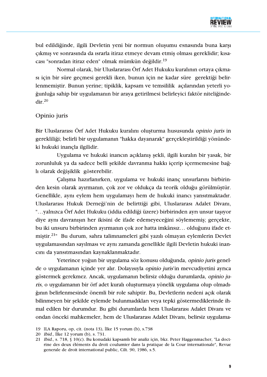

bul edildiğinde, ilgili Devletin yeni bir normun oluşumu esnasında buna karşı çıkmış ve sonrasında da ısrarla itiraz etmeye devam etmiş olması gereklidir; kısacası "sonradan itiraz eden" olmak mümkün değildir.<sup>19</sup>

Normal olarak, bir Uluslararası Örf Adet Hukuku kuralının ortaya çıkması için bir süre geçmesi gerekli iken, bunun için ne kadar süre gerektiği belirlenmemiştir. Bunun yerine; tipiklik, kapsam ve temsililik açılarından yeterli yoğunluğa sahip bir uygulamanın bir araya getirilmesi belirleyici faktör niteliğinde $dir<sup>20</sup>$ 

## Opinio juris

Bir Uluslararası Örf Adet Hukuku kuralını olusturma hususunda opinio juris in gerekliliği; belirli bir uygulamanın "hakka dayanarak" gerçekleştirildiği yönündeki hukuki inançla ilgilidir.

Uygulama ve hukuki inancın açıklanış şekli, ilgili kuralın bir yasak, bir zorunluluk ya da sadece belli şekilde davranma hakkı içerip içermemesine bağlı olarak değişiklik gösterebilir.

Calisma hazırlanırken, uygulama ve hukuki inanç unsurlarını birbirinden kesin olarak ayırmanın, çok zor ve oldukça da teorik olduğu görülmüştür. Genellikle, aynı eylem hem uygulamayı hem de hukuki inancı yansıtmaktadır. Uluslararası Hukuk Derneği'nin de belirttiği gibi, Uluslararası Adalet Divanı, "...yalnızca Örf Adet Hukuku (iddia edildiği üzere) birbirinden ayrı unsur taşıyor diye aynı davranışın her ikisini de ifade edemeyeceğini söylememiş; gerçekte, bu iki unsuru birbirinden ayırmanın çok zor hatta imkânsız... olduğunu ifade etmistir.<sup>21</sup>" Bu durum, sahra talimnameleri gibi yazılı olmayan eylemlerin Devlet uygulamasından sayılması ve aynı zamanda genellikle ilgili Devletin hukuki inancını da yansıtmasından kaynaklanmaktadır.

Yeterince yoğun bir uygulama söz konusu olduğunda, opinio juris genelde o uygulamanın içinde yer alır. Dolayısıyla opinio juris'in mevcudiyetini ayrıca göstermek gerekmez. Ancak, uygulamanın belirsiz olduğu durumlarda, opinio juris, o uygulamanın bir örf adet kuralı oluşturmaya yönelik uygulama olup olmadığının belirlenmesinde önemli bir role sahiptir. Bu, Devletlerin nedeni açık olarak bilinmeyen bir şekilde eylemde bulunmadıkları veya tepki göstermediklerinde ihmal edilen bir durumdur. Bu gibi durumlarda hem Uluslararası Adalet Divanı ve ondan önceki mahkemeler, hem de Uluslararası Adalet Divanı, belirsiz uygulama-

20 *Ibid.*, *ilke* 12 yorum (b), s. 731.

<sup>19</sup> ILA Raporu, op, cit. (nota 13), İlke 15 yorum (b), s.738

<sup>21</sup> Ibid., s. 718, § 10(c). Bu konudaki kapsamlı bir analiz için, bkz. Peter Haggenmacher, "La doctrine des deux éléments du droit coulumier dans la pratique de la Cour internationale", Revue generale de droit international public, Cilt. 90, 1986, s.5.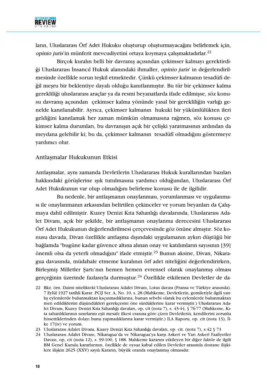

ların, Uluslararası Örf Adet Hukuku olusturup olusturmayacağını belirlemek için, opinio juris'in münferit mevcudiyetini ortaya koymaya çalışmaktadırlar.<sup>22</sup>

Bircok kuralın belli bir davranıs acısından cekimser kalmavı gerektirdiği Uluslararası İnsancıl Hukuk alanındaki ihmaller, opinio juris' in değerlendirilmesinde özellikle sorun teşkil etmektedir. Çünkü çekimser kalmanın tesadüfi değil meşru bir beklentiye dayalı olduğu kanıtlanmıştır. Bu tür bir çekimser kalma gerekliliği uluslararası araçlar ya da resmi beyanatlarda ifade edilmişse, söz konusu davranış açısından çekimser kalma yönünde yasal bir gerekliliğin varlığı genelde kanıtlanabilir. Ayrıca, çekimser kalmanın hukuki bir yükümlülükten ileri geldiğini kanıtlamak her zaman mümkün olmamasına rağmen, söz konusu çekimser kalma durumları, bu davranışın açık bir çelişki yaratmasının ardından da meydana gelebilir ki; bu da, çekimser kalmanın tesadüfî olmadığını göstermeye yardımcı olur.

#### Antlaşmalar Hukukunun Etkisi

Antlaşmalar, aynı zamanda Devletlerin Uluslararası Hukuk kurallarından bazıları hakkındaki görüşlerine ışık tutulmasına yardımcı olduğundan, Uluslararası Örf Adet Hukukunun var olup olmadığını belirleme konusu ile de ilgilidir.

Bu nedenle, bir antlaşmanın onaylanması, yorumlanması ve uygulanmasi ile onaylanmanın arkasından belirtilen çekinceler ve yorum beyanları da Çalışmaya dahil edilmiştir. Kuzey Denizi Kıta Sahanlığı davalarında, Uluslararası Adalet Divanı, açık bir şekilde, bir antlaşmanın onaylanma derecesini Uluslararası Örf Adet Hukukunun değerlendirilmesi çerçevesinde göz önüne almıştır. Söz konusu davada, Divan özellikle antlaşma dışındaki uygulamanın aykırı düştüğü bir bağlamda "bugüne kadar güvence altına alınan onay ve katılımların sayısının [39] önemli olsa da veterli olmadığını" ifade etmistir.<sup>23</sup> Bunun aksine, Divan, Nikaragua davasında, müdahale etmeme kuralının örf adet niteliğini değerlendirirken, Birleşmiş Milletler Şartı'nın hemen hemen evrensel olarak onaylanmış olması gerçeğinin üzerinde fazlasıyla durmuştur.<sup>24</sup> Özellikle etkilenen Devletler de da-

- 23 Uluslararası Adalet Divanı, Kuzey Denizi Kıta Sahanlığı davaları, op. cit. (nota 7), s.42 § 73
- 24 Uluslararası Adalet Divanı, Nikaragua'da ve Nikaragua'ya karşı Askeri ve Yarı Askeri Faaliyetler Davası, op, cit (nota 12), s. 99-100, § 188. Mahkeme kararını etkileyen bir diğer faktör de ilgili BM Genel Kurulu kararlarının, özellikle de oysuz kabul edilen Devletler arasında dostane ilişkilere ilişkin 2625 (XXV) sayılı Kararın, büyük oranda onaylanmış olmasıdır.

<sup>22</sup> Bkz. örn. Daimi nitelikteki Uluslararası Adalet Divanı, Lotus davası (Fransa ve Türkiye arasında). 7 Evlül 1927 tarihli Karar, PCIJ Ser, A, No. 10, s, 28 (Mahkeme, Devletlerin, gemileriyle ilgili yanlis evlemlerde bulunmaktan kacınmadıklarına, bunun sebebi olarak bu evlemlerde bulunmaktan men edildiklerini düsündükleri gerekçesini öne sürdüklerine karar vermistir.) Uluslararası Adalet Divanı, Kuzey Denizi Kıta Sahanlığı davaları, op, cit (nota 7), s. 43-44, § 76-77 (Mahkeme, Kıta sahanlıklarının sınırlarını eşit mesafe ilkesi esasına göre çizen Devletlerin, kendilerini zorunlu hissettiklerinden dolayı bunu yapmadıklarına karar vermiştir.) ILA Raporu, op. cit (nota 13), İlke  $17(iv)$  ve yorum.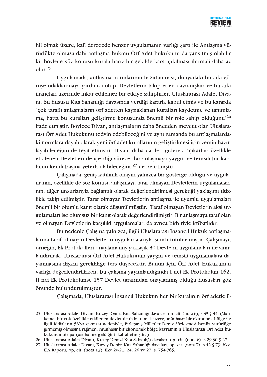

hil olmak üzere, kafi derecede benzer uygulamanın varlığı şartı ile Antlaşma yürürlükte olmasa dahi antlaşma hükmü Örf Adet hukukunu da yansıtmış olabilir ki; böylece söz konusu kurala bariz bir şekilde karşı çıkılması ihtimali daha az  $olur.<sup>25</sup>$ 

Uygulamada, antlaşma normlarının hazırlanması, dünyadaki hukuki görüşe odaklanmaya yardımcı olup, Devletlerin takip eden davranışları ve hukuki inançları üzerinde inkâr edilemez bir etkiye sahiptirler. Uluslararası Adalet Divanı, bu hususu Kıta Sahanlığı davasında verdiği kararla kabul etmiş ve bu kararda "çok taraflı anlaşmaların örf adetten kaynaklanan kuralları kaydetme ve tanımlama, hatta bu kuralları geliştirme konusunda önemli bir role sahip olduğunu<sup>"26</sup> ifade etmiştir. Böylece Divan, antlaşmaların daha önceden mevcut olan Uluslararası Örf Adet Hukukunu tedvin edebileceğini ve aynı zamanda bu antlaşmalardaki normlara dayalı olarak yeni örf adet kurallarının geliştirilmesi için zemin hazırlayabileceğini de teyit etmiştir. Divan, daha da ileri giderek, "çıkarları özellikle etkilenen Devletleri de içerdiği sürece, bir anlaşmaya yaygın ve temsili bir katılimin kendi başına yeterli olabileceğini<sup>127</sup> de belirtmiştir.

Çalışmada, geniş katılımlı onayın yalnızca bir gösterge olduğu ve uygulamanın, özellikle de söz konusu anlaşmaya taraf olmayan Devletlerin uygulamalarının, diğer unsurlarıyla bağlantılı olarak değerlendirilmesi gerektiği yaklaşımı titizlikle takip edilmiştir. Taraf olmayan Devletlerin antlaşma ile uyumlu uygulamaları önemli bir olumlu kanıt olarak düşünülmüştür. Taraf olmayan Devletlerin aksi uygulamaları ise olumsuz bir kanıt olarak değerlendirilmiştir. Bir anlaşmaya taraf olan ve olmayan Devletlerin karşılıklı uygulamaları da ayrıca birbiriyle irtibatlıdır.

Bu nedenle Çalışma yalnızca, ilgili Uluslararası İnsancıl Hukuk antlaşmalarına taraf olmayan Devletlerin uygulamalarıyla sınırlı tutulmamıştır. Calısmayı, örneğin, Ek Protokolleri onaylamamış yaklaşık 30 Devletin uygulamaları ile sınırlandırmak, Uluslararası Örf Adet Hukukunun yaygın ve temsili uygulamalara dayanmasına ilişkin gerekliliğe ters düşecektir. Bunun için Örf Adet Hukukunun varlığı değerlendirilirken, bu çalışma yayımlandığında I nci Ek Protokolün 162, II nci Ek Protokolünse 157 Devlet tarafından onaylanmış olduğu hususları göz önünde bulundurulmuştur.

Calismada, Uluslararası İnsancıl Hukukun her bir kuralının örf adetle il-

26 Uluslararası Adalet Divanı, Kuzey Denizi Kıta Sahanlığı davaları, op. cit. (nota 6), s.29-30 § 27

<sup>25</sup> Uluslararası Adalet Divanı, Kuzey Denizi Kıta Sahanlığı davaları, op. cit. (nota 6), s.33 § 34. (Mahkeme, bir çok özellikle etkilenen devlet de dahil olmak üzere, münhasır bir ekonomik bölge ile ilgili iddiaların 56'ya çıkması nedeniyle, Birleşmiş Milletler Deniz Sözleşmesi henüz yürürlüğe girmemis olmasına rağmen, münhasır bir ekonomik bölge kavramının Uluslararası Örf Adet hukukunun bir parçası haline geldiğini kabul etmiştir.)

<sup>27</sup> Uluslararası Adalet Divanı, Kuzey Denizi Kıta Sahanlığı davaları, op. cit. (nota 7), s.42 § 73; bkz. ILA Raporu, op, cit, (nota 13), İlke 20-21, 24, 26 ve 27, s. 754-765.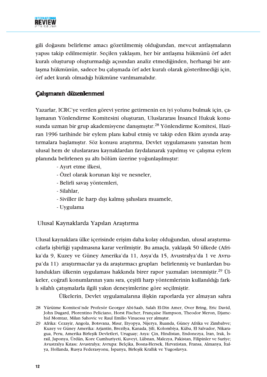

gili doğasını belirleme amacı gözetilmemiş olduğundan, mevcut antlaşmaların yapısı takip edilmemiştir. Seçilen yaklaşım, her bir antlaşma hükmünü örf adet kuralı olusturup olusturmadığı acısından analiz etmediğinden, herhangi bir antlaşma hükmünün, sadece bu çalışmada örf adet kuralı olarak gösterilmediği için, örf adet kuralı olmadığı hükmüne varılmamalıdır.

# Calışmanın düzenlenmesi

Yazarlar, ICRC'ye verilen görevi yerine getirmenin en iyi yolunu bulmak için, çalişmanın Yönlendirme Komitesini oluşturan, Uluslararası İnsancıl Hukuk konusunda uzman bir grup akademisyene danışmıştır.<sup>28</sup> Yönlendirme Komitesi, Haziran 1996 tarihinde bir eylem planı kabul etmiş ve takip eden Ekim ayında araştırmalara başlamıştır. Söz konusu araştırma, Devlet uygulamasını yansıtan hem ulusal hem de uluslararası kaynaklardan faydalanarak yapılmış ve çalışma eylem planında belirlenen şu altı bölüm üzerine yoğunlaşılmıştır:

- Ayırt etme ilkesi,
- Özel olarak korunan kisi ve nesneler,
- Belirli savaş yöntemleri,
- Silahlar,
- Siviller ile harp dışı kalmış şahıslara muamele,
- Uygulama

Ulusal Kaynaklarda Yapılan Araştırma

Ulusal kaynaklara ülke içerisinde erisim daha kolay olduğundan, ulusal arastırmacılarla isbirliği yapılmasına karar verilmistir. Bu amaçla, yaklasık 50 ülkede (Afrika'da 9, Kuzey ve Güney Amerika'da 11, Asya'da 15, Avustralya'da 1 ve Avrupa'da 11) araştırmacılar ya da araştırmacı grupları belirlenmiş ve bunlardan bulundukları ülkenin uygulaması hakkında birer rapor yazmaları istenmiştir.<sup>29</sup> Ülkeler, coğrafi konumlarının yanı sıra, çeşitli harp yöntemlerinin kullanıldığı farklı silahlı çatışmalarla ilgili yakın deneyimlerine göre seçilmiştir.

Ülkelerin, Devlet uygulamalarına ilişkin raporlarda yer almayan sahra

<sup>28</sup> Yürütme Komitesi'nde Profesör Georger Abi-Saab, Salah El-Din Amer, Over Bring, Eric David, John Dugard, Plorentino Peliciano, Horst Fischer, Francaise Hampson, Theodor Meron, Diamchid Momtaz, Milan Sahovic ve Raul Emilio Vinuessa yer almıştır.

<sup>29</sup> Afrika: Cezayir, Angola, Botsvana, Mısır, Etyopya, Nijerya, Ruanda, Güney Afrika ve Zimbabve; Kuzey ve Güney Amerika: Arjantin, Brezilya, Kanada, Şili, Kolombiya, Küba, El Salvador, Nikaragua, Peru, Amerika Birleşik Devletleri, Uruguay; Asya: Çin, Hindistan, Endonezya, İran, Irak, İsrail, Japonya, Ürdün, Kore Cumhuriyeti, Kuveyt, Lübnan, Malezya, Pakistan, Filipinler ve Suriye; Avustralya Kıtası: Avustralya; Avrupa: Belçika, Bosna-Hersek, Hırvatistan, Fransa, Almanya, İtalya, Hollanda, Rusya Federasyonu, İspanya, Birleşik Krallık ve Yugoslavya.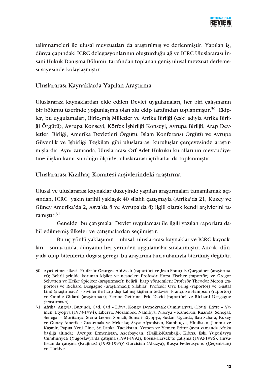

talimnameleri ile ulusal mevzuatları da arastırılmıs ve derlenmistir. Yapılan is, dünya çapındaki ICRC delegasyonlarının oluşturduğu ağ ve ICRC Uluslararası İnsani Hukuk Danisma Bölümü tarafından toplanan genis ulusal mevzuat derlemesi sayesinde kolaylaşmıştır.

# Uluslararası Kaynaklarda Yapılan Araştırma

Uluslararası kaynaklardan elde edilen Devlet uygulamaları, her biri çalışmanın bir bölümü üzerinde yoğunlaşmış olan altı ekip tarafından toplanmıştır.<sup>30</sup> Ekipler, bu uygulamaları, Birleşmiş Milletler ve Afrika Birliği (eski adıyla Afrika Birliği Örgütü), Avrupa Konseyi, Körfez İşbirliği Konseyi, Avrupa Birliği, Arap Devletleri Birliği, Amerika Devletleri Örgütü, İslam Konferansı Örgütü ve Avrupa Güvenlik ve İşbirliği Teşkilatı gibi uluslararası kuruluşlar çerçevesinde araştırmışlardır. Aynı zamanda, Uluslararası Örf Adet Hukuku kurallarının mevcudiyetine ilişkin kanıt sunduğu ölçüde, uluslararası içtihatlar da toplanmıştır.

Uluslararası Kızılhaç Komitesi arsivlerindeki arastırma

Ulusal ve uluslararası kaynaklar düzeyinde yapılan araştırmaları tamamlamak açısından, ICRC yakın tarihli yaklaşık 40 silahlı çatışmayla (Afrika'da 21, Kuzey ve Güney Amerika'da 2, Asya'da 8 ve Avrupa'da 8) ilgili olarak kendi arşivlerini taramistir.<sup>31</sup>

Genelde, bu çatışmalar Devlet uygulaması ile ilgili yazılan raporlara dahil edilmemiş ülkeler ve çatışmalardan seçilmiştir.

Bu üç yönlü yaklaşımın - ulusal, uluslararası kaynaklar ve ICRC kaynakları - sonucunda, dünyanın her yerinden uygulamalar sıralanmıştır. Ancak, dünyada olup bitenlerin doğası gereği, bu araştırma tam anlamıyla bitirilmiş değildir.

<sup>30</sup> Ayırt etme ilkesi: Profesör Georges Abi-Saab (raportör) ve Jean-François Queguiner (araştırmacı); Belirli şekilde korunan kişiler ve nesneler: Profesör Horst Fischer (raportör) ve Gregor Schotten ve Heike Spielcer (araştırmacı); Belirli harp yöntemleri: Profesör Theodor Meron (raportör) ve Richard Desgagne (araştırmacı); Silahlar: Profesör Ove Bring (raportör) ve Gustaf Lind (arastırmacı), - Siviller ile harp dışı kalmış kişilerin tedavisi: Françoise Hampson (raportör) ve Camile Giffard (arastırmacı); Yerine Getirme: Eric David (raportör) ve Richard Desgagne (arastırmacı).

<sup>31</sup> Afrika: Angola, Burundi, Çad, Çad - Libya, Kongo Demokratik Cumhuriyeti, Cibuti, Eritre - Yemen, Etyopya (1973-1994), Liberya, Mozambik, Namibya, Nijerya - Kamerun, Ruanda, Senegal, Senegal - Moritanya, Sierra Leone, Somali, Somali- Etyopya, Sudan, Uganda, Batı Sahara, Kuzey ve Güney Amerika: Guatemala ve Meksika; Asya: Afganistan, Kamboçya, Hindistan, Jammu ve Kasmir, Papua Yeni Gine, Sri Lanka, Tacikistan, Yemen ve Yemen Eritre (aynı zamanda Afrika başlığı altında); Avrupa: Ermenistan, Azerbaycan, (Dağlık-Karabağ), Kıbrıs, Eski Yugoslavya Cumhuriyeti (Yugoslavya'da çatışma (1991-1992), Bosna-Hersek'te çatışma (1992-1996), Hırvatistan'da çatışma (Krajinas) (1992-1995)) Gürcistan (Abazya), Rusya Federasyonu (Çeçenistan) ve Türkiye.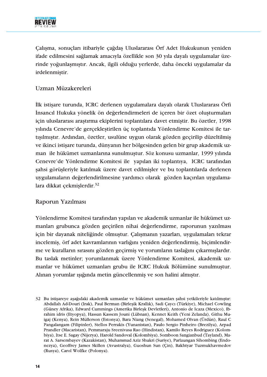

Calisma, sonuçları itibariyle çağdaş Uluslararası Örf Adet Hukukunun yeniden ifade edilmesini sağlamak amacıyla özellikle son 30 yıla dayalı uygulamalar üzerinde yoğunlaşmıştır. Ancak, ilgili olduğu yerlerde, daha önceki uygulamalar da irdelenmiştir.

# Uzman Müzakereleri

İlk istişare turunda, ICRC derlenen uygulamalara dayalı olarak Uluslararası Örfi İnsancıl Hukuka yönelik ön değerlendirmeleri de içeren bir özet oluşturmaları için uluslararası araştırma ekiplerini toplantılara davet etmiştir. Bu özetler, 1998 yılında Cenevre'de gerçekleştirilen üç toplantıda Yönlendirme Komitesi ile tartışılmıştır. Ardından, özetler, usulüne uygun olarak gözden geçirilip düzeltilmiş ve ikinci istisare turunda, dünyanın her bölgesinden gelen bir grup akademik uzman ile hükümet uzmanlarına sunulmuştur. Söz konusu uzmanlar, 1999 yılında Cenevre'de Yönlendirme Komitesi ile yapılan iki toplantıya, ICRC tarafından sahsi görüşleriyle katılmak üzere davet edilmişler ve bu toplantılarda derlenen uygulamaların değerlendirilmesine yardımcı olarak gözden kaçırılan uygulamalara dikkat çekmişlerdir.<sup>32</sup>

# Raporun Yazılması

Yönlendirme Komitesi tarafından yapılan ve akademik uzmanlar ile hükümet uzmanları grubunca gözden geçirilen nihai değerlendirme, raporunun yazılması için bir dayanak niteliğinde olmuştur. Çalışmanın yazarları, uygulamaları tekrar incelemiş, örf adet kavramlarının varlığını yeniden değerlendirmiş, biçimlendirme ve kuralların sırasını gözden geçirmiş ve yorumların taslağını çıkarmışlardır. Bu taslak metinler; yorumlanmak üzere Yönlendirme Komitesi, akademik uzmanlar ve hükümet uzmanları grubu ile ICRC Hukuk Bölümüne sunulmuştur. Alınan yorumlar ışığında metin güncellenmiş ve son halini almıştır.

<sup>32</sup> Bu istişareye aşağıdaki akademik uzmanlar ve hükümet uzmanları şahsi yetkileriyle katılmıştır: Abdallah Ad-Douri (Irak), Paul Berman (Birleşik Krallık), Sadi Çaycı (Türkiye), Michael Cowling (Güney Afrika), Edward Cummings (Amerika Birleşk Devletleri), Antonio de Icaza (Mexico), Ibrahim idris (Etyopya), Hassan Kassem Jouni (Lübnan), Kennet Keith (Yeni Zelanda), Githu Muigaj (Kenya), Rein Müllerson (Estonya), Bara Niang (Senegal), Mohamed Olvan (Ürdün), Raul C Pangalangam (Filipinler), Stellos Perrakis (Yunanistan), Paulo Sergio Pinheiro (Brezilya), Arpad Prandler (Macaristan), Pemmaraju Sreenivasa Rao (Hindistan), Kamilo Reyes Rodriguez (Kolombiya), Itse E. Sagay (Nijerya), Harold Sandoval (Kolombiya), Somboon Sangianbud (Tayland), Marat A. Sarsembayev (Kazakistan), Muhammad Aziz Shukri (Suriye), Parlaungan Sihombing (Endonezya), Geoffrey James Skillen (Avustralya), Guoshun Sun (Çin), Bakhtyar Tuzmukhavmedov (Rusya), Carol Wolfke (Polonya).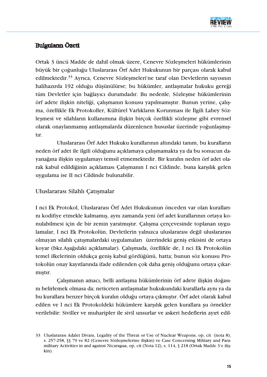

# **Bulguların Özeti**

Ortak 3 üncü Madde de dahil olmak üzere, Cenevre Sözlesmeleri hükümlerinin büyük bir çoğunluğu Uluslararası Örf Adet Hukukunun bir parçası olarak kabul edilmektedir.<sup>33</sup> Ayrıca, Cenevre Sözlesmeleri'ne taraf olan Devletlerin sayısının halihazırda 192 olduğu düşünülürse; bu hükümler, antlaşmalar hukuku gereği tüm Devletler için bağlayıcı durumdadır. Bu nedenle, Sözleşme hükümlerinin örf adete ilişkin niteliği, çalışmanın konusu yapılmamıştır. Bunun yerine, çalışma, özellikle Ek Protokoller, Kültürel Varlıkların Korunması ile İlgili Lahey Sözleşmesi ve silahların kullanımına ilişkin birçok özellikli sözleşme gibi evrensel olarak onaylanmamış antlaşmalarda düzenlenen hususlar üzerinde yoğunlaşmıştir.

Uluslararası Örf Adet Hukuku kurallarının altındaki tanım, bu kuralların neden örf adet ile ilgili olduğunu açıklamaya çalışmamakta ya da bu sonucun dayanağına ilişkin uygulamayı temsil etmemektedir. Bir kuralın neden örf adet olarak kabul edildiğinin açıklaması Çalışmanın I nci Cildinde, buna karşılık gelen uygulama ise II nci Cildinde bulunabilir.

# Uluslararası Silahlı Çatışmalar

I nci Ek Protokol, Uluslararası Örf Adet Hukukunun önceden var olan kurallarını kodifiye etmekle kalmamış, aynı zamanda yeni örf adet kurallarının ortaya konulabilmesi için de bir zemin yaratmıştır. Çalışma çerçevesinde toplanan uygulamalar, I nci Ek Protokolün, Devletlerin yalnızca uluslararası değil uluslararası olmayan silahlı çatışmalardaki uygulamaları üzerindeki geniş etkisini de ortaya koyar (bkz.Aşağıdaki açıklamalar). Çalışmada, özellikle de, I nci Ek Protokolün temel ilkelerinin oldukça geniş kabul gördüğünü, hatta; bunun söz konusu Protokolün onay kayıtlarında ifade edilenden çok daha geniş olduğunu ortaya çıkarmistir.

Çalışmanın amacı, belli antlaşma hükümlerinin örf adete ilişkin doğasını belirlemek olmasa da; neticeten antlaşmalar hukukundaki kurallarla aynı ya da bu kurallara benzer birçok kuralın olduğu ortaya çıkmıştır. Örf adet olarak kabul edilen ve I nci Ek Protokoldeki hükümlere karşılık gelen kurallara şu örnekler verilebilir: Siviller ve muharipler ile sivil unsurlar ve askeri hedeflerin ayırt edil-

<sup>33</sup> Uluslararasi Adalet Divani, Legality of the Threat or Use of Nuclear Weapons, op, cit (nota 8), s. 257-258, §§ 79 ve 82 (Cenevre Sözlesmelerine iliskin) ve Case Concerning Military and Paramilitary Activities in and against Nicaragua, op, cit (Nota 12), s. 114, § 218 (Ortak Madde 3'e iliskin).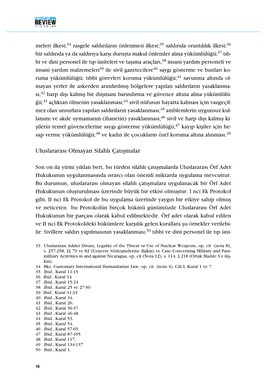

meleri ilkesi;<sup>34</sup> rasgele saldırıların önlenmesi ilkesi;<sup>35</sup> saldırıda orantılılık ilkesi;<sup>36</sup> bir saldırıda ya da saldırıya karşı duruşta makul önlemler alma yükümlülüğü:<sup>37</sup> tıbbi ve dini personel ile tip üniteleri ve taşıma araçları,<sup>38</sup> insani yardım personeli ve insani yardım malzemeleri<sup>39</sup> ile sivil gazetecilere<sup>40</sup> saygı gösterme ve bunları koruma yükümlülüğü; tıbbi görevleri koruma yükümlülüğü;<sup>41</sup> savunma altında olmayan yerler ile askerden arındırılmış bölgelere yapılan saldırıların yasaklanma- $\text{St}^{42}$  harp dışı kalmış bir düşmanı barındırma ve güvence altına alma yükümlülüğü;<sup>43</sup> açlıktan ölmenin yasaklanması;<sup>44</sup> sivil nüfusun hayatta kalması için vazgeçilmez olan unsurlara yapılan saldırıların yasaklanması;<sup>45</sup> amblemlerin uygunsuz kullanımı ve akde uymamanın (ihanetin) yasaklanması;<sup>46</sup> sivil ve harp dışı kalmış kisilerin temel güvencelerine saygı gösterme yükümlülüğü; $^{47}$  kayıp kişiler için hesap verme yükümlülüğü;<sup>48</sup> ve kadın ile çocukların özel koruma altına alınması.<sup>49</sup>

Uluslararası Olmayan Silahlı Çatışmalar

Son on ila yirmi yıldan beri, bu türden silahlı çatışmalarda Uluslararası Örf Adet Hukukunun uygulanmasında ısrarcı olan önemli miktarda uygulama mevcuttur. Bu durumun, uluslararası olmayan silahlı çatışmalara uygulanacak bir Örf Adet Hukukunun oluşturulması üzerinde büyük bir etkisi olmuştur. I nci Ek Protokol gibi, II nci Ek Protokol de bu uygulama üzerinde yaygın bir etkiye sahip olmuş ve neticeten bu Protokolün birçok hükmü günümüzde Uluslararası Örf Adet Hukukunun bir parçası olarak kabul edilmektedir. Örf adet olarak kabul edilen ve II nci Ek Protokoldeki hükümlere karşılık gelen kurallara şu örnekler verilebilir: Sivillere saldırı yapılmasının yasaklanması;<sup>50</sup> tıbbi ve dini personel ile tıp üni-

- 33 Uluslararasi Adalet Divani, Legality of the Threat or Use of Nuclear Weapons, op, cit (nota 8), s. 257-258, SS 79 ve 82 (Cenevre Sözlesmelerine iliskin) ve Case Concerning Military and Paramilitary Activities in and against Nicaragua, op, cit (Nota 12), s. 114, § 218 (Ortak Madde 3'e ilis- $\operatorname{kin}$
- 34 Bkz. Customary International Humanitarian Law, op, cit (nota 4), Cilt I, Kural 1 ve 7
- 35 Ibid., Kural 11-13
- 36 Ibid., Kural 14
- 37 Ibid., Kural 15-24
- 38 *Ibid.*, Kural 25 ve 27-30
- 39 Ibid., Kural 31-32
- 40 *Ibid.*, Kural 34.
- 41 *Ibid.*, Kural 26.
- 42 Ibid., Kural 36-37.
- 43 Ibid., Kural 46-48.
- 44 Ibid., Kural 53.
- 45 Ibid., Kural 54.
- 46 *Ibid.*, Kural 57-65.
- 47 Ibid., Kural 87-105
- 48 Ibid., Kural 117.
- 49 Ibid., Kural 134-137
- 50 Ibid., Kural 1.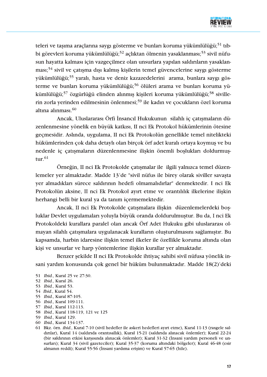

teleri ve taşıma araçlarına saygı gösterme ve bunları koruma yükümlülüğü;<sup>51</sup> tıbbi görevleri koruma vükümlülüğü:<sup>52</sup> aclıktan ölmenin vasaklanması:<sup>53</sup> sivil nüfusun hayatta kalması için vazgeçilmez olan unsurlara yapılan saldırıların yasaklanması;<sup>54</sup> sivil ve çatışma dışı kalmış kişilerin temel güvencelerine saygı gösterme yükümlülüğü;<sup>55</sup> yaralı, hasta ve deniz kazazedelerini arama, bunlara saygı gösterme ve bunları koruma yükümlülüğü;<sup>56</sup> ölüleri arama ve bunları koruma yükümlülüğü;<sup>57</sup> özgürlüğü elinden alınmış kişileri koruma yükümlülüğü;<sup>58</sup> sivillerin zorla yerinden edilmesinin önlenmesi;<sup>59</sup> ile kadın ve çocukların özel koruma altına alınması.<sup>60</sup>

Ancak, Uluslararası Örfi İnsancıl Hukukunun silahlı iç çatışmaların düzenlenmesine yönelik en büyük katkısı, II nci Ek Protokol hükümlerinin ötesine geçmesidir. Aslında, uygulama, II nci Ek Protokolün genellikle temel nitelikteki hükümlerinden çok daha detaylı olan birçok örf adet kuralı ortaya koymuş ve bu nedenle iç çatışmaların düzenlenmesine ilişkin önemli boşlukları doldurmuştur. $61$ 

Örneğin, II nci Ek Protokolde çatışmalar ile ilgili yalnızca temel düzenlemeler yer almaktadır. Madde 13'de "sivil nüfus ile birey olarak siviller savaşta yer almadıkları sürece saldırının hedefi olmamalıdırlar" denmektedir. I nci Ek Protokolün aksine, II nci Ek Protokol ayırt etme ve orantılılık ilkelerine ilişkin herhangi belli bir kural ya da tanım içermemektedir.

Ancak, II nci Ek Protokolde çatışmalara ilişkin düzenlemelerdeki boşluklar Devlet uygulamaları yoluyla büyük oranda doldurulmuştur. Bu da, I nci Ek Protokoldeki kurallara paralel olan ancak Örf Adet Hukuku gibi uluslararası olmayan silahlı çatışmalara uygulanacak kuralların oluşturulmasını sağlamıştır. Bu kapsamda, harbin idaresine ilişkin temel ilkeler ile özellikle koruma altında olan kişi ve unsurlar ve harp yöntemlerine ilişkin kurallar yer almaktadır.

Benzer şekilde II nci Ek Protokolde ihtiyaç sahibi sivil nüfusa yönelik insani yardım konusunda çok genel bir hüküm bulunmaktadır. Madde 18(2)'deki

- 53 Ibid., Kural 53.
- 54 Ibid., Kural 54.
- 55 Ibid., Kural 87-105.
- 56 Ibid., Kural 109-111.
- 57 Ibid., Kural 112-113.
- 58 Ibid., Kural 118-119, 121 ve 125
- 59 Ibid., Kural 129.
- 60 Ibid., Kural 134-137.
- 61 Bkz. örn. ibid., Kural 7-10 (sivil hedefler ile askeri hedefleri ayırt etme), Kural 11-13 (rasgele saldırılar), Kural 14 (saldırıda orantısallık), Kural 15-21 (saldırıda alınacak önlemler); Kural 22-24 (bir saldırının etkisi karşısında alınacak önlemler); Kural 31-32 (İnsani yardım personeli ve unsurları); Kural 34 (sivil gazeteciler); Kural 35-37 (koruma altındaki bölgeler); Kural 46-48 (esir almanın reddi); Kural 55-56 (İnsani yardıma erişim) ve Kural 57-65 (hile).

<sup>51</sup> Ibid., Kural 25 ve 27-30.

<sup>52</sup> Ibid., Kural 26.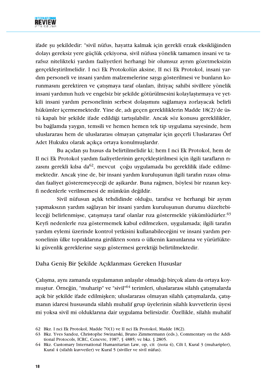

ifade şu şekildedir: "sivil nüfus, hayatta kalmak için gerekli erzak eksikliğinden dolayı gereksiz yere güçlük çekiyorsa, sivil nüfusa yönelik tamamen insani ve tarafsız nitelikteki vardım faalivetleri herhangi bir olumsuz ayrım gözetmeksizin gerçekleştirilmelidir. I nci Ek Protokolün aksine, II nci Ek Protokol, insani yardim personeli ve insani yardım malzemelerine saygı gösterilmesi ve bunların korunmasını gerektiren ve çatışmaya taraf olanları, ihtiyaç sahibi sivillere yönelik insani yardımın hızlı ve engelsiz bir şekilde götürülmesini kolaylaştırmaya ve yetkili insani yardım personelinin serbest dolaşımını sağlamaya zorlayacak belirli hükümler içermemektedir. Yine de, adı geçen gerekliliklerin Madde 18(2)'de üstü kapalı bir şekilde ifade edildiği tartışılabilir. Ancak söz konusu gereklilikler, bu bağlamda yaygın, temsili ve hemen hemen tek tip uygulama sayesinde, hem uluslararası hem de uluslararası olmayan çatışmalar için geçerli Uluslararası Örf Adet Hukuku olarak açıkça ortaya konulmuşlardır.

Bu açıdan şu husus da belirtilmelidir ki; hem I nci Ek Protokol, hem de II nci Ek Protokol yardım faaliyetlerinin gerçekleştirilmesi için ilgili tarafların rızasını gerekli kılsa da<sup>62</sup>, mevcut çoğu uygulamada bu gereklilik ifade edilmemektedir. Ancak yine de, bir insani yardım kuruluşunun ilgili tarafın rızası olmadan faaliyet gösteremeyeceği de aşikardır. Buna rağmen, böylesi bir rızanın keyfi nedenlerle verilmemesi de mümkün değildir.

Sivil nüfusun açlık tehdidinde olduğu, tarafsız ve herhangi bir ayrım yapmaksızın yardım sağlayan bir insani yardım kuruluşunun durumu düzeltebileceği belirlenmişse, çatışmaya taraf olanlar rıza göstermekle yükümlüdürler.<sup>63</sup> Keyfi nedenlerle rıza göstermemek kabul edilmezken, uygulamada; ilgili tarafın yardım eylemi üzerinde kontrol yetkisini kullanabileceğini ve insani yardım personelinin ülke topraklarına girdikten sonra o ülkenin kanunlarına ve yürürlükteki güvenlik gereklerine saygı göstermesi gerektiği belirtilmektedir.

# Daha Geniş Bir Şekilde Açıklanması Gereken Hususlar

Çalışma, aynı zamanda uygulamanın anlaşılır olmadığı birçok alanı da ortaya koymustur. Örneğin, "muharip" ve "sivil"<sup>64</sup> terimleri, uluslararası silahlı çatışmalarda açık bir şekilde ifade edilmişken; uluslararası olmayan silahlı çatışmalarda, çatışmanın idaresi hususunda silahlı muhalif grup üyelerinin silahlı kuvvetlerin üyesi mi yoksa sivil mi olduklarına dair uygulama belirsizdir. Özellikle, silahlı muhalif

<sup>62</sup> Bkz. I nci Ek Protokol, Madde 70(1) ve II nci Ek Protokol, Madde 18(2).

<sup>63</sup> Bkz. Yves Sandoz, Christophe Swinarski, Bruno Zimmermann (eds.), Commentary on the Additional Protocols, ICRC, Cenevre, 1987, § 4885; ve bkz. § 2805.

<sup>64</sup> Bkz. Customary International Humanitarian Law, op, cit (nota 4), Cilt I, Kural 3 (muharipler), Kural 4 (silahlı kuvvetler) ve Kural 5 (siviller ve sivil nüfus).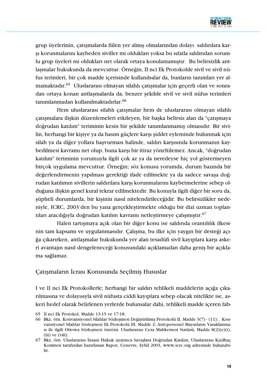

grup üyelerinin, çatışmalarda fiilen yer almış olmalarından dolayı saldırılara karşı korunmalarını kaybeden siviller mi oldukları yoksa bu sıfatla saldırıdan sorumlu grup üveleri mi oldukları net olarak ortava konulamamıştır. Bu belirsizlik antlaşmalar hukukunda da mevcuttur. Örneğin, II nci Ek Protokolde sivil ve sivil nüfus terimleri, bir çok madde içerisinde kullanılsalar da, bunların tanımları yer almamaktadır.<sup>65</sup> Uluslararası olmayan silahlı çatışmalar için geçerli olan ve sonradan ortaya konan antlaşmalarda da, benzer şekilde sivil ve sivil nüfus terimleri tanımlanmadan kullanılmaktadırlar.<sup>66</sup>

Hem uluslararası silahlı çatışmalar hem de uluslararası olmayan silahlı çatışmalara ilişkin düzenlemeleri etkileyen, bir başka belirsiz alan da "çatışmaya doğrudan katılım" teriminin kesin bir şekilde tanımlanmamış olmasıdır. Bir sivilin, herhangi bir kişiye ya da hasım güçlere karşı şiddet eyleminde bulunmak için silah ya da diğer yollara başvurması halinde, saldırı karşısında korunmanın kaybedilmesi kavramı net olup, buna karşı bir itiraz yöneltilemez. Ancak, "doğrudan katılım" teriminin yorumuyla ilgili çok az ya da neredeyse hiç yol göstermeyen birçok uygulama mevcuttur. Örneğin; söz konusu yorumda, durum bazında bir değerlendirmenin yapılması gerektiği ifade edilmekte ya da sadece savasa doğrudan katılımın sivillerin saldırılara karşı korunmalarını kaybetmelerine sebep olduğuna ilişkin genel kural tekrar edilmektedir. Bu konuyla ilgili diğer bir soru da, şüpheli durumlarda, bir kişinin nasıl nitelendirileceğidir. Bu belirsizlikler nedeniyle, ICRC, 2003'den bu yana gerçekleştirmekte olduğu bir dizi uzman toplantıları aracılığıyla doğrudan katılım kavramı netleştirmeye çalışmıştır.<sup>67</sup>

Halen tartışmaya açık olan bir diğer konu ise saldırıda orantılılık ilkesinin tam kapsamı ve uygulanmasıdır. Çalışma, bu ilke için yaygın bir desteği açığa çıkarırken, antlasmalar hukukunda yer alan tesadüfi sivil kayıplara karsı askeri avantajın nasıl dengeleneceği konusundaki açıklamadan daha genis bir açıklama sağlamaz.

#### Catismaların İcrası Konusunda Seçilmiş Hususlar

I ve II nci Ek Protokollerle; herhangi bir saldırı tehlikeli maddelerin açığa çıkarilmasına ve dolayısıyla sivil nüfusta ciddi kayıplara sebep olacak nitelikte ise, askeri hedef olarak belirlenen yerlerde bulunsalar dahi, tehlikeli madde içeren fab-

<sup>65</sup> II nci Ek Protokol, Madde 13-15 ve 17-18.

<sup>66</sup> Bkz. örn. Konvansivonel Silahlar Sözlesmesi Değistirilmis Protokolü II, Madde 3(7) - (11): . Konvansiyonel Silahlar Sözleşmesi Ek Protokolü III, Madde 2; Anti-personel Mayınların Yasaklanması ile ilgili Ottowa Sözleşmesi önsözü: Uluslararası Ceza Mahkemesi Statüsü, Madde 8(2)(e)(i),  $(iii)$  ve  $(viii)$ .

<sup>67</sup> Bkz. örn. Uluslararası İnsani Hukuk uyarınca Savaşlara Doğrudan Katılım, Uluslararası Kızılhaç Komitesi tarafından hazırlanan Rapor, Cenevre, Eylül 2003, www.icrc.org adresinde bulunabilir.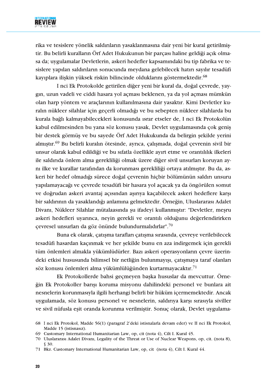

rika ve tesislere yönelik saldırıların yasaklanmasına dair yeni bir kural getirilmiştir. Bu belirli kuralların Örf Adet Hukukunun bir parçası haline geldiği açık olmasa da; uvgulamalar Devletlerin, askeri hedefler kapsamındaki bu tip fabrika ve tesislere yapılan saldırıların sonucunda meydana gelebilecek hatırı sayılır tesadüfi kayıplara ilişkin yüksek riskin bilincinde olduklarını göstermektedir.<sup>68</sup>

I nci Ek Protokolde getirilen diğer yeni bir kural da, doğal çevrede, yaygin, uzun vadeli ve ciddi hasara yol açması beklenen, ya da yol açması mümkün olan harp yöntem ve araçlarının kullanılmasına dair yasaktır. Kimi Devletler kuralın nükleer silahlar için geçerli olmadığı ve bu sebepten nükleer silahlarda bu kurala bağlı kalmayabilecekleri konusunda ısrar etseler de, I nci Ek Protokolün kabul edilmesinden bu yana söz konusu yasak, Devlet uygulamasında çok geniş bir destek görmüs ve bu sayede Örf Adet Hukukunda da belirgin sekilde yerini almıştır.<sup>69</sup> Bu belirli kuralın ötesinde, ayrıca, çalışmada, doğal çevrenin sivil bir unsur olarak kabul edildiği ve bu sıfatla özellikle ayırt etme ve orantılılık ilkeleri ile saldırıda önlem alma gerekliliği olmak üzere diğer sivil unsurları koruyan aynı ilke ve kurallar tarafından da korunması gerekliliği ortaya atılmıştır. Bu da, askeri bir hedef olmadığı sürece doğal çevrenin hiçbir bölümünün saldırı unsuru yapılamayacağı ve çevrede tesadüfi bir hasara yol açacak ya da öngörülen somut ve doğrudan askeri avantaj açısından aşırıya kaçabilecek askeri hedeflere karşı bir saldırının da yasaklandığı anlamına gelmektedir. Örneğin, Uluslararası Adalet Divanı, Nükleer Silahlar mütalaasında su ifadeyi kullanmıştır: "Devletler, meşru askeri hedefleri uyarınca, neyin gerekli ve orantılı olduğunu değerlendirirken çevresel unsurları da göz önünde bulundurmalıdırlar".<sup>70</sup>

Buna ek olarak, çatışma tarafları çatışma sırasında, çevreye verilebilecek tesadüfi hasardan kaçınmak ve her şekilde bunu en aza indirgemek için gerekli tüm önlemleri almakla yükümlüdürler. Bazı askeri operasyonların çevre üzerindeki etkisi hususunda bilimsel bir netliğin bulunmayısı, çatısmaya taraf olanları söz konusu önlemleri alma yükümlülüğünden kurtarmayacaktır.<sup>71</sup>

Ek Protokollerde bahsi geçmeyen başka hususlar da mevcuttur. Örneğin Ek Protokoller barışı koruma misyonu dahilindeki personel ve bunlara ait nesnelerin korunmasıyla ilgili herhangi belirli bir hüküm içermemektedir. Ancak uygulamada, söz konusu personel ve nesnelerin, saldırıya karşı sırasıyla siviller ve sivil nüfusla eşit oranda korunma verilmiştir. Sonuç olarak, Devlet uygulama-

<sup>68</sup> I nci Ek Protokol, Madde 56(1) (paragraf 2'deki istisnalarla devam eder) ve II nci Ek Protokol, Madde 15 (istisnasız).

<sup>69</sup> Customary International Humanitarian Law, op, cit (nota 4), Cilt I. Kural 45.

<sup>70</sup> Uluslararası Adalet Divanı, Legality of the Threat or Use of Nuclear Weapons, op, cit. (nota 8),  $$30.$ 

<sup>71</sup> Bkz. Customary International Humanitarian Law, op, cit (nota 4), Cilt I. Kural 44.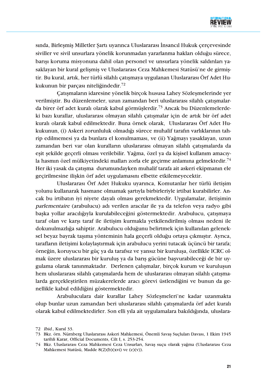

sında, Birleşmiş Milletler Şartı uyarınca Uluslararası İnsancıl Hukuk çerçevesinde siviller ve sivil unsurlara yönelik korunmadan yararlanma hakları olduğu sürece, barısı koruma misyonuna dahil olan personel ve unsurlara yönelik saldırıları vasaklayan bir kural gelişmiş ve Uluslararası Ceza Mahkemesi Statüsü'ne de girmiştir. Bu kural, artık, her türlü silahlı çatışmaya uygulanan Uluslararası Örf Adet Hukukunun bir parçası niteliğindedir.<sup>72</sup>

Çatışmaların idaresine yönelik birçok hususa Lahey Sözleşmelerinde yer verilmiştir. Bu düzenlemeler, uzun zamandan beri uluslararası silahlı çatışmalarda birer örf adet kuralı olarak kabul görmüşlerdir.<sup>73</sup> Ancak bu Düzenlemelerdeki bazı kurallar, uluslararası olmayan silahlı çatışmalar için de artık bir örf adet kuralı olarak kabul edilmektedir. Buna örnek olarak, Uluslararası Örf Adet Hukukunun, (i) Askeri zorunluluk olmadığı sürece muhalif tarafın varlıklarının tahrip edilmemesi ya da bunlara el konulmaması, ve (ii) Yağmayı yasaklayan, uzun zamandan beri var olan kuralların uluslararası olmayan silahlı çatışmalarda da eşit şekilde geçerli olması verilebilir. Yağma, özel ya da kişisel kullanım amacıyla hasmın özel mülkiyetindeki malları zorla ele geçirme anlamına gelmektedir.<sup>74</sup> Her iki yasak da çatışma durumundayken muhalif tarafa ait askeri ekipmanın ele geçirilmesine ilişkin örf adet uygulamasını elbette etkilemeyecektir.

Uluslararası Örf Adet Hukuku uyarınca, Komutanlar her türlü iletişim yolunu kullanarak hasmane olmamak şartıyla birbirleriyle irtibat kurabilirler. Ancak bu irtibatın iyi niyete dayalı olması gerekmektedir. Uygulamalar, iletişimin parlementaire (arabulucu) adı verilen aracılar ile ya da telefon veya radyo gibi başka yollar aracılığıyla kurulabileceğini göstermektedir. Arabulucu, çatışmaya taraf olan ve karşı taraf ile iletisim kurmakla yetkilendirilmiş olması nedeni ile dokunulmazlığa sahiptir. Arabulucu olduğunu belirtmek için kullanılan geleneksel beyaz bayrak taşıma yönteminin hala geçerli olduğu ortaya çıkmıştır. Ayrıca, tarafların iletisimi kolaylastırmak için arabulucu yerini tutacak üçüncü bir tarafa; örneğin, koruyucu bir güç ya da tarafsız ve yansız bir kuruluşa, özellikle ICRC olmak üzere uluslararası bir kuruluş ya da barış gücüne başvurabileceği de bir uygulama olarak tanınmaktadır. Derlenen çalışmalar, birçok kurum ve kuruluşun hem uluslararası silahlı çatışmalarda hem de uluslararası olmayan silahlı çatışmalarda gerçekleştirilen müzakerelerde aracı görevi üstlendiğini ve bunun da genellikle kabul edildiğini göstermektedir.

Arabuluculara dair kurallar Lahey Sözlesmeleri'ne kadar uzanmakta olup bunlar uzun zamandan beri uluslararası silahlı çatışmalarda örf adet kuralı olarak kabul edilmektedirler. Son elli yıla ait uygulamalara bakıldığında, uluslara-

<sup>72</sup> *Ibid.*, Kural 33.

<sup>73</sup> Bkz. örn. Nürnberg Uluslararası Askeri Mahkemesi, Önemli Savaş Suçluları Davası, 1 Ekim 1945 tarihli Karar, Official Documents, Cilt I, s. 253-254.

<sup>74</sup> Bkz. Uluslararası Ceza Mahkemesi Ceza Unsurları, Savaş suçu olarak yağma (Uluslararası Ceza Mahkemesi Statüsü, Madde 8(2)(b)(xvi) ve (e)(v)).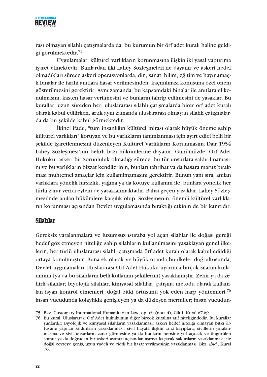

rası olmayan silahlı çatışmalarda da, bu kurumun bir örf adet kuralı haline geldiği görülmektedir.<sup>75</sup>

Uygulamalar, kültürel varlıkların korunmasına ilişkin iki yasal yaptırıma isaret etmektedir. Bunlardan ilki Lahey Sözleşmeleri'ne dayanır ve askeri hedef olmadıkları sürece askeri operasyonlarda, din, sanat, bilim, eğitim ve hayır amaçli binalar ile tarihi anıtlara hasar verilmesinden kaçınılması konusuna özel önem gösterilmesini gerektirir. Aynı zamanda, bu kapsamdaki binalar ile anıtlara el konulmasını, kasten hasar verilmesini ve bunların tahrip edilmesini de yasaklar. Bu kurallar, uzun süreden beri uluslararası silahlı çatışmalarda birer örf adet kuralı olarak kabul edilirken, artık aynı zamanda uluslararası olmayan silahlı çatışmalarda da bu şekilde kabul görmektedir.

İkinci ifade, "tüm insanlığın kültürel mirası olarak büyük öneme sahip kültürel varlıkları" koruyan ve bu varlıkların tanımlanması için ayırt edici belli bir şekilde işaretlenmesini düzenleyen Kültürel Varlıkların Korunmasına Dair 1954 Lahey Sözleşmesi'nin belirli bazı hükümlerine dayanır. Günümüzde, Örf Adet Hukuku, askeri bir zorunluluk olmadığı sürece, bu tür unsurlara saldırılmamasını ve bu varlıkların bizzat kendilerinin, bunları tahribat ya da hasara maruz bırakması muhtemel amaçlar için kullanılmamasını gerektirir. Bunun yanı sıra, anılan varlıklara yönelik hırsızlık, yağma ya da kötüye kullanım ile bunlara yönelik her türlü zarar verici eylem de yasaklanmaktadır. Bahsi geçen yasaklar, Lahey Sözleşmesi'nde anılan hükümlere karşılık olup, Sözleşmenin, önemli kültürel varlıkların korunması açısından Devlet uygulamasında bıraktığı etkinin de bir kanıtıdır.

#### Silahlar

Gereksiz yaralanmalara ve lüzumsuz ıstıraba yol açan silahlar ile doğası gereği hedef göz etmeyen niteliğe sahip silahların kullanılmasını yasaklayan genel ilkelerin, her türlü uluslararası silahlı çatışmada örf adet kuralı olarak kabul edildiği ortaya konulmuştur. Buna ek olarak ve büyük oranda bu ilkeler doğrultusunda, Devlet uygulamaları Uluslararası Örf Adet Hukuku uyarınca birçok silahın kullanımını (ya da bu silahların belli kullanım şekillerini) yasaklamıştır: Zehir ya da zehirli silahlar; biyolojik silahlar, kimyasal silahlar, catısma metodu olarak kullanılan isyan kontrol etmenleri, doğal bitki örtüsünü yok eden harp yöntemleri;<sup>76</sup> insan vücudunda kolaylıkla genişleyen ya da düzleşen mermiler; insan vücudun-

<sup>75</sup> Bkz. Customary International Humanitarian Law, op. cit (nota 4), Cilt I. Kural 67-69.

<sup>76</sup> Bu kural, Uluslararası Örf Adet hukukunun diğer bircok kuralına atıf niteliğindedir. Bu kurallar şunlardır: Biyolojik ve kimyasal silahların yasaklanması; askeri hedef niteliği olmayan bitki örtüsüne yapılan saldırıların yasaklanması; sivil hayata ilişkin arızi kayıplara, sivillerin yaralanmasına ve sivil unsurların zarar görmesine ya da bunların hepsine yol açacak ve öngörülen somut ya da doğrudan bir askeri avantaj açısından aşırıya kaçacak saldırıların yasaklanması; ile doğal çevreye geniş, uzun vadeli ve ciddi bir hasar verilmesinin yasaklanması. Bkz. ibid., Kural 76.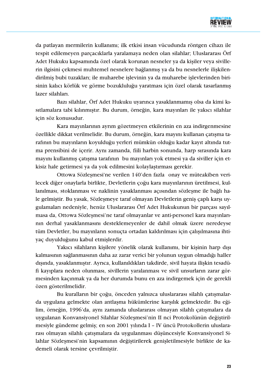

da patlayan mermilerin kullanımı; ilk etkisi insan vücudunda röntgen cihazı ile tespit edilemeyen parçacıklarla yaralamaya neden olan silahlar; Uluslararası Örf Adet Hukuku kapsamında özel olarak korunan nesneler va da kisiler veva sivillerin ilgisini çekmesi muhtemel nesnelere bağlanmış ya da bu nesnelerle ilişkilendirilmiş bubi tuzakları; ile muharebe işlevinin ya da muharebe işlevlerinden birisinin kalıcı körlük ve görme bozukluluğu yaratması için özel olarak tasarlanmış lazer silahları.

Bazı silahlar, Örf Adet Hukuku uyarınca yasaklanmamış olsa da kimi kısıtlamalara tabi kılınmıştır. Bu durum, örneğin, kara mayınları ile yakıcı silahlar için söz konusudur.

Kara mayınlarının ayrım gözetmeyen etkilerinin en aza indirgenmesine özellikle dikkat verilmelidir. Bu durum, örneğin, kara mayını kullanan çatışma tarafının bu mayınların koyulduğu yerleri mümkün olduğu kadar kayıt altında tutma prensibini de içerir. Aynı zamanda, fiili harbin sonunda, harp sırasında kara mayını kullanmış çatışma tarafının bu mayınları yok etmesi ya da siviller için etkisiz hale getirmesi ya da yok edilmesini kolaylaştırması gerekir.

Ottowa Sözleşmesi'ne verilen 140'den fazla onay ve müteakiben verilecek diğer onaylarla birlikte, Devletlerin çoğu kara mayınlarının üretilmesi, kullanılması, stoklanması ve naklinin yasaklanması açısından sözleşme ile bağlı hale gelmiştir. Bu yasak, Sözleşmeye taraf olmayan Devletlerin geniş çaplı karşı uygulamaları nedeniyle, henüz Uluslararası Örf Adet Hukukunun bir parçası sayılmasa da, Ottowa Sözleşmesi'ne taraf olmayanlar ve anti-personel kara mayınlarının derhal yasaklanmasını desteklemeyenler de dahil olmak üzere neredeyse tüm Devletler, bu mayınların sonuçta ortadan kaldırılması için çalışılmasına ihtiyaç duyulduğunu kabul etmişlerdir.

Yakıcı silahların kisilere yönelik olarak kullanımı, bir kisinin harp dısı kalmasının sağlanmasının daha az zarar verici bir yolunun uygun olmadığı haller dışında, yasaklanmıştır. Ayrıca, kullanıldıkları takdirde, sivil hayata ilişkin tesadüfi kayıplara neden olunması, sivillerin yaralanması ve sivil unsurların zarar görmesinden kaçınmak ya da her durumda bunu en aza indirgemek için de gerekli özen gösterilmelidir.

Bu kuralların bir çoğu, önceden yalnızca uluslararası silahlı çatışmalarda uygulana gelmekte olan antlasma hükümlerine karsılık gelmektedir. Bu eğilim, örneğin, 1996'da, aynı zamanda uluslararası olmayan silahlı çatışmalara da uygulanan Konvansiyonel Silahlar Sözleşmesi'nin II nci Protokolünün değiştirilmesiyle gündeme gelmiş; en son 2001 yılında I - IV üncü Protokollerin uluslararası olmayan silahlı çatışmalara da uygulanması düşüncesiyle Konvansiyonel Silahlar Sözleşmesi'nin kapsamının değiştirilerek genişletilmesiyle birlikte de kademeli olarak tersine çevrilmiştir.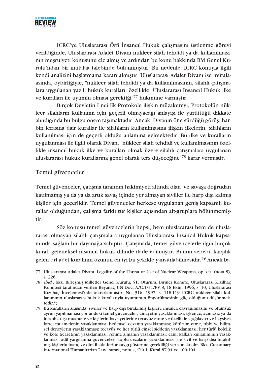

ICRC'ye Uluslararası Örfi İnsancıl Hukuk calısmasını üstlenme görevi verildiğinde, Uluslararası Adalet Divanı nükleer silah tehdidi ya da kullanılmasının meşruiyeti konusunu ele almış ve ardından bu konu hakkında BM Genel Kurulu'ndan bir mütalaa talebinde bulunmustur. Bu nedenle, ICRC konuvla ilgili kendi analizini başlatmama kararı almıştır. Uluslararası Adalet Divanı ise mütalaasında, oybirliğiyle, "nükleer silah tehdidi ya da kullanılmasının, silahlı çatışmalara uygulanan yazılı hukuk kuralları, özellikle Uluslararası İnsancıl Hukuk ilke ve kuralları ile uyumlu olması gerektiği"<sup>77</sup> hükmüne varmıştır.

Bircok Devletin I nci Ek Protokole iliskin müzakerevi, Protokolün nükleer silahların kullanımı için geçerli olmayacağı anlayısı ile yürüttüğü dikkate alındığında bu bulgu önem taşımaktadır. Ancak, Divanın öne sürdüğü görüş, harbin icrasına dair kurallar ile silahların kullanılmasına ilişkin ilkelerin, silahların kullanılması için de geçerli olduğu anlamına gelmektedir. Bu ilke ve kuralların uygulanması ile ilgili olarak Divan, "nükleer silah tehdidi ve kullanılmasının özellikle insancıl hukuk ilke ve kuralları olmak üzere silahlı çatışmalara uygulanan uluslararası hukuk kurallarına genel olarak ters düseceğine<sup>"78</sup> karar vermistir.

#### Temel güvenceler

Temel güvenceler, çatışma tarafının hakimiyeti altında olan ve savaşa doğrudan katılmamış ya da ya da artık savaş içinde yer almayan siviller ile harp dışı kalmış kişiler için geçerlidir. Temel güvenceler herkese uygulanan geniş kapsamlı kurallar olduğundan, çalışma farklı tür kişiler açısından alt-gruplara bölünmemiştir.

Söz konusu temel güvencelerin hepsi, hem uluslararası hem de uluslararası olmayan silahlı çatışmalara uygulanan Uluslararası İnsancıl Hukuk kapsamında sağlam bir dayanağa sahiptir. Calısmada, temel güvencelerle ilgili birçok kural, geleneksel insancıl hukuk dilinde ifade edilmiştir. Bunun sebebi, karşılık gelen örf adet kuralının özünün en iyi bu şekilde yansıtılabilmesidir.<sup>79</sup> Ancak ba-

<sup>77</sup> Uluslararası Adalet Divanı, Legality of the Threat or Use of Nuclear Weapons, op, cit (nota 8), s. 226.

<sup>78</sup> Ibid., bkz. Birlesmis Milletler Genel Kurulu, 51. Oturum, Birinci Komite, Uluslararası Kızılhac Komitesi tarafından verilen Beyanat, UN Doc. A/C.1/51/PV.8, 18 Ekim 1996, s. 10, Uluslararası Kızılhac İncelemesi'nde tekrarlanmıştır, No. 316, 1997, s. 118-119 (ICRC nükleer silah kullanımının uluslararası hukuk kurallarıyla uyumunun öngörülmesinin güç olduğunu düşünmektedir.")

<sup>79</sup> Bu kuralların arasında, siviller ve harp dışı bırakılmış kişilere insanca davranılmasını ve olumsuz ayrım yapılmaması yönündeki temel güvenceler; cinayetin yasaklanması; işkence, acımasız ya da insanlık dışı muamele ve kişilerin haysiyetlerine tecavüz etme ve özellikle aşağılayıcı ve haysiyet kırıcı muamelenin yasaklanması; bedensel cezanın yasaklanması; kötürüm etme, tıbbi ve bilimsel deneylerin yasaklanması; tecavüz ve her türlü cinsel siddetin yasaklanması; her türlü kölelik ve köle ticaretinin yasaklanması; rehine almanın yasaklanması; canlı kalkan kullanımının yasaklanması; adil yargılanma güvenceleri; toplu cezaların yasaklanması; ile sivil ve harp dışı bırakılmış kişilerin inanç ve dini ibadetlerine saygı gösterme gerekliliği yer almaktadır. Bkz. Customary International Humanitarian Law, supra, nota 4, Cilt I. Kural 87-94 ve 100-104.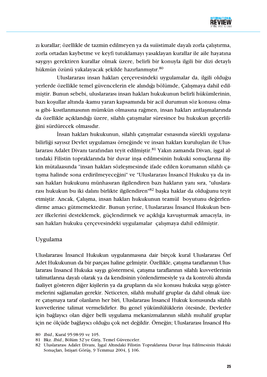

zı kurallar; özellikle de tazmin edilmeyen ya da suiistimale dayalı zorla çalıştırma, zorla ortadan kaybetme ve keyfi tutuklamayı yasaklayan kurallar ile aile hayatına savgıvı gerektiren kurallar olmak üzere, belirli bir konuyla ilgili bir dizi detaylı hükmün özünü yakalayacak şekilde hazırlanmıştır.<sup>80</sup>

Uluslararası insan hakları çerçevesindeki uygulamalar da, ilgili olduğu yerlerde özellikle temel güvencelerin ele alındığı bölümde, Çalışmaya dahil edilmiştir. Bunun sebebi, uluslararası insan hakları hukukunun belirli hükümlerinin, bazı koşullar altında -kamu yararı kapsamında bir acil durumun söz konusu olması gibi- kısıtlanmasının mümkün olmasına rağmen, insan hakları antlaşmalarında da özellikle açıklandığı üzere, silahlı çatışmalar süresince bu hukukun geçerliliğini sürdürecek olmasıdır.

İnsan hakları hukukunun, silahlı çatışmalar esnasında sürekli uygulanabilirliği sayısız Devlet uygulaması örneğinde ve insan hakları kuruluşları ile Uluslararası Adalet Divanı tarafından teyit edilmiştir.<sup>81</sup> Yakın zamanda Divan, işgal altındaki Filistin topraklarında bir duvar inşa edilmesinin hukuki sonuçlarına ilişkin mütalaasında "insan hakları sözleşmesinde ifade edilen korumanın silahlı çatisma halinde sona erdirilmeyeceğini" ve "Uluslararası İnsancıl Hukuku ya da insan hakları hukukunu münhasıran ilgilendiren bazı hakların yanı sıra, "uluslararası hukukun bu iki dalını birlikte ilgilendiren"<sup>82</sup> başka haklar da olduğunu teyit etmiştir. Ancak, Çalışma, insan hakları hukukunun teamül boyutunu değerlendirme amacı gütmemektedir. Bunun yerine, Uluslararası İnsancıl Hukukun benzer ilkelerini desteklemek, güçlendirmek ve açıklığa kavuşturmak amacıyla, insan hakları hukuku çerçevesindeki uygulamalar çalışmaya dahil edilmiştir.

#### Uygulama

Uluslararası İnsancıl Hukukun uygulanmasına dair birçok kural Uluslararası Örf Adet Hukukunun da bir parçası haline gelmiştir. Özellikle, çatışma taraflarının Uluslararası İnsancıl Hukuka saygı göstermesi, çatışma taraflarının silahlı kuvvetlerinin talimatlarına dayalı olarak ya da kendisinin yönlendirmesiyle ya da kontrolü altında faaliyet gösteren diğer kişilerin ya da grupların da söz konusu hukuka saygı göstermelerini sağlamaları gerekir. Neticeten, silahlı muhalif gruplar da dahil olmak üzere çatışmaya taraf olanların her biri, Uluslararası İnsancıl Hukuk konusunda silahlı kuvvetlerine talimat vermelidirler. Bu genel vükümlülüklerin ötesinde, Devletler için bağlayıcı olan diğer belli uygulama mekanizmalarının silahlı muhalif gruplar için ne ölçüde bağlayıcı olduğu çok net değildir. Örneğin; Uluslararası İnsancıl Hu-

<sup>80</sup> Ibid., Kural 95-98-99 ve 105.

<sup>81</sup> Bkz. Ibid., Bölüm 32'ye Giriş, Temel Güvenceler.

<sup>82</sup> Uluslararası Adalet Divanı, İşgal Altındaki Filistin Topraklarına Duvar İnsa Edilmesinin Hukuki Sonuçları, İstişari Görüş, 9 Temmuz 2004, § 106.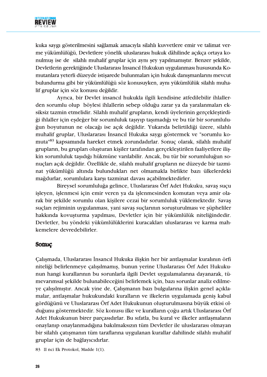

kuka saygı gösterilmesini sağlamak amacıyla silahlı kuvvetlere emir ve talimat verme yükümlülüğü, Devletlere yönelik uluslararası hukuk dâhilinde açıkça ortaya konulmuş ise de silahlı muhalif gruplar için aynı şey yapılmamıştır. Benzer şekilde, Devletlerin gerektiğinde Uluslararası İnsancıl Hukukun uygulanması hususunda Komutanlara yeterli düzeyde istişarede bulunmaları için hukuk danışmanlarını mevcut bulundurma gibi bir yükümlülüğü söz konusuyken, aynı yükümlülük silahlı muhalif gruplar için söz konusu değildir.

Ayrıca, bir Devlet insancıl hukukla ilgili kendisine atfedilebilir ihlallerden sorumlu olup böylesi ihlallerin sebep olduğu zarar ya da yaralanmaları eksiksiz tazmin etmelidir. Silahlı muhalif grupların, kendi üyelerinin gerçekleştirdiği ihlaller için eşdeğer bir sorumluluk taşıyıp taşımadığı ve bu tür bir sorumluluğun boyutunun ne olacağı ise açık değildir. Yukarıda belirtildiği üzere, silahlı muhalif gruplar, Uluslararası İnsancıl Hukuka saygı göstermek ve "sorumlu komuta<sup>183</sup> kapsamında hareket etmek zorundadırlar. Sonuç olarak, silahlı muhalif grupların, bu grupları oluşturan kişiler tarafından gerçekleştirilen faaliyetlere ilişkin sorumluluk taşıdığı hükmüne varılabilir. Ancak, bu tür bir sorumluluğun sonuçları açık değildir. Özellikle de, silahlı muhalif grupların ne düzeyde bir tazminat yükümlüğü altında bulundukları net olmamakla birlikte bazı ülkelerdeki mağdurlar, sorumlulara karşı tazminat davası açabilmektedirler.

Bireysel sorumluluğa gelince, Uluslararası Örf Adet Hukuku, savaş suçu işleyen, işlenmesi için emir veren ya da işlenmesinden komutan veya amir olarak bir şekilde sorumlu olan kişilere cezai bir sorumluluk yüklemektedir. Savaş suçları rejiminin uygulanması, yani savaş suçlarının soruşturulması ve şüpheliler hakkında kovuşturma yapılması, Devletler için bir yükümlülük niteliğindedir. Devletler, bu yöndeki yükümlülüklerini kuracakları uluslararası ve karma mahkemelere devredebilirler.

#### **SODUC**

Calismada, Uluslararası İnsancıl Hukuka ilişkin her bir antlasmalar kuralının örfi niteliği belirlenmeye çalışılmamış, bunun yerine Uluslararası Örf Adet Hukukunun hangi kurallarının bu sorunlarla ilgili Devlet uygulamalarına dayanarak, tümevarımsal şekilde bulunabileceğini belirlemek için, bazı sorunlar analiz edilmeye çalışılmıştır. Ancak yine de, Çalışmanın bazı bulgularına ilişkin genel açıklamalar, antlaşmalar hukukundaki kuralların ve ilkelerin uygulamada geniş kabul gördüğünü ve Uluslararası Örf Adet Hukukunun oluşturulmasına büyük etkisi olduğunu göstermektedir. Söz konusu ilke ve kuralların çoğu artık Uluslararası Örf Adet Hukukunun birer parçasıdırlar. Bu sıfatla, bu kural ve ilkeler antlaşmaların onaylanıp onaylanmadığına bakılmaksızın tüm Devletler ile uluslararası olmayan bir silahlı çatışmanın tüm taraflarına uygulanan kurallar dahilinde silahlı muhalif gruplar için de bağlayıcıdırlar.

83 II nci Ek Protokol, Madde 1(1).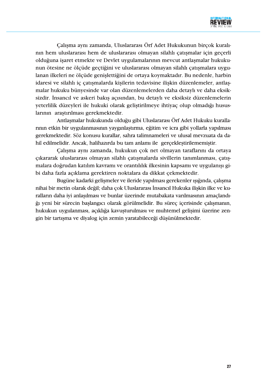

Çalışma aynı zamanda, Uluslararası Örf Adet Hukukunun birçok kuralının hem uluslararası hem de uluslararası olmayan silahlı çatışmalar için geçerli olduğuna işaret etmekte ve Devlet uygulamalarının mevcut antlaşmalar hukukunun ötesine ne ölçüde geçtiğini ve uluslararası olmayan silahlı çatışmalara uygulanan ilkeleri ne ölçüde genişlettiğini de ortaya koymaktadır. Bu nedenle, harbin idaresi ve silahlı iç çatışmalarda kişilerin tedavisine ilişkin düzenlemeler, antlaşmalar hukuku bünyesinde var olan düzenlemelerden daha detaylı ve daha eksiksizdir. İnsancıl ve askeri bakıs açısından, bu detaylı ve eksiksiz düzenlemelerin veterlilik düzevleri ile hukuki olarak gelistirilmeve ihtivac olup olmadığı hususlarının araştırılması gerekmektedir.

Antlaşmalar hukukunda olduğu gibi Uluslararası Örf Adet Hukuku kurallarının etkin bir uygulanmasının yaygınlaştırma, eğitim ve icra gibi yollarla yapılması gerekmektedir. Söz konusu kurallar, sahra talimnameleri ve ulusal mevzuata da dahil edilmelidir. Ancak, halihazırda bu tam anlamı ile gerçekleştirilememiştir.

Calisma aynı zamanda, hukukun çok net olmayan taraflarını da ortaya çıkararak uluslararası olmayan silahlı çatışmalarda sivillerin tanımlanması, çatışmalara doğrudan katılım kavramı ve orantılılık ilkesinin kapsamı ve uygulanışı gibi daha fazla açıklama gerektiren noktalara da dikkat çekmektedir.

Bugüne kadarki gelişmeler ve ileride yapılması gerekenler ışığında, çalışma nihai bir metin olarak değil; daha çok Uluslararası İnsancıl Hukuka ilişkin ilke ve kuralların daha iyi anlaşılması ve bunlar üzerinde mutabakata varılmasının amaçlandığı yeni bir sürecin başlangıcı olarak görülmelidir. Bu süreç içerisinde çalışmanın, hukukun uygulanması, açıklığa kavuşturulması ve muhtemel gelişimi üzerine zengin bir tartısma ve divalog için zemin varatabileceği düşünülmektedir.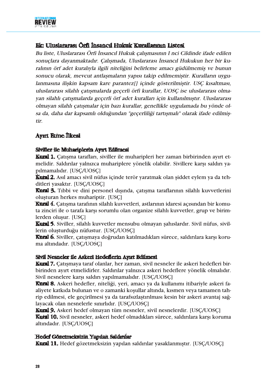

# Ek: Uluslararası Örfi İnsancıl Hukuk Kurallarının Listesi

Bu liste, Uluslararası Örfi İnsancıl Hukuk çalışmasının I nci Cildinde ifade edilen sonuçlara dayanmaktadır. Çalışmada, Uluslararası İnsancıl Hukukun her bir kuralının örf adet kuralıyla ilgili niteliğini belirleme amacı güdülmemis ve bunun sonucu olarak, mevcut antlaşmaların yapısı takip edilmemiştir. Kuralların uygulanmasına ilişkin kapsam kare parantez[] içinde gösterilmiştir. USC kısaltması, uluslararası silahlı çatısmalarda geçerli örfi kurallar, UOSC ise uluslararası olmayan silahlı çatışmalarda geçerli örf adet kuralları için kullanılmıştır. Uluslararası olmayan silahlı çatışmalar için bazı kurallar, genellikle uygulamada bu yönde olsa da, daha dar kapsamlı olduğundan "geçerliliği tartışmalı" olarak ifade edilmiş**tir** 

# **Ayırt Etme İlkesi**

# Siviller ile Muhariplerin Ayırt Edilmesi

**Kural 1.** Çatışma tarafları, siviller ile muharipleri her zaman birbirinden ayırt etmelidir. Saldırılar yalnızca muhariplere yönelik olabilir. Sivillere karşı saldırı yapılmamalıdır. [USC/UOSC]

**Kural 2.** Asıl amacı sivil nüfus içinde terör yaratmak olan şiddet eylem ya da tehditleri yasaktır. [USC/UOSC]

Kural 3. Tibbi ve dini personel dişinda, çatışma taraflarının silahlı kuvvetlerini oluşturan herkes muhariptir. [USC]

**Kural 4.** Catisma tarafının silahlı kuvvetleri, astlarının idaresi açısından bir komuta zinciri ile o tarafa karşı sorumlu olan organize silahlı kuvvetler, grup ve birimlerden oluşur. [USC]

Kural 5. Siviller, silahlı kuvvetler mensubu olmayan şahıslardır. Sivil nüfus, sivillerin oluşturduğu nüfustur. [USC/UOSC]

**Kural 6.** Siviller, çatışmaya doğrudan katılmadıkları sürece, saldırılara karşı koruma altındadır. [USC/UOSC]

# Sivil Nesneler ile Askerl Hedeflerin Ayırt Edilmesi

**Kural 7.** Catismaya taraf olanlar, her zaman, sivil nesneler ile askeri hedefleri birbirinden ayırt etmelidirler. Saldırılar yalnızca askeri hedeflere yönelik olmalıdır. Sivil nesnelere karşı saldırı yapılmamalıdır. [USC/UOSC]

Kural 8. Askeri hedefler, niteliği, yeri, amacı ya da kullanımı itibariyle askeri faaliyete katkıda bulunan ve o zamanki koşullar altında, kısmen veya tamamen tahrip edilmesi, ele geçirilmesi ya da tarafsızlaştırılması kesin bir askeri avantaj sağlayacak olan nesnelerle sınırlıdır. [USC/UOSC]

**Kural 9.** Askeri hedef olmayan tüm nesneler, sivil nesnelerdir. [USC/UOSC] Kuml 10. Sivil nesneler, askeri hedef olmadıkları sürece, saldırılara karşı koruma altındadır. [USC/UOSC]

# Hedef Gözetmeksizin Yapılan Saldırılar

Kural 11. Hedef gözetmeksizin yapılan saldırılar yasaklanmıştır. [USC/UOSC]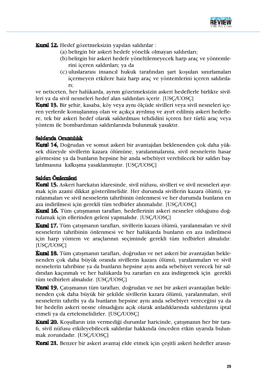

Kural 12. Hedef gözetmeksizin yapılan saldırılar :

- (a) belirgin bir askeri hedefe yönelik olmayan saldırıları;
- (b) belirgin bir askeri hedefe yöneltilemeyecek harp araç ve yöntemlerini içeren saldırıları; ya da
- (c) uluslararası insancıl hukuk tarafından şart koşulan sınırlamaları içermeyen etkilere haiz harp araç ve yöntemlerini içeren saldırılari;

ve neticeten, her halükarda, ayrım gözetmeksizin askeri hedeflerle birlikte sivilleri ya da sivil nesneleri hedef alan saldırıları içerir. [USC/UOSC]

Kural 13. Bir şehir, kasaba, köy veya aynı ölçüde sivilleri veya sivil nesneleri içeren yerlerde konuşlanmış olan ve açıkça ayrılmış ve ayırt edilmiş askeri hedeflere, tek bir askeri hedef olarak saldırılması tehdidini içeren her türlü araç veya yöntem ile bombardıman saldırılarında bulunmak yasaktır.

# Saldırıda Orantılılık

Kuml 14. Doğrudan ve somut askeri bir avantajdan beklenenden çok daha yüksek düzeyde sivillerin kazara ölümüne, yaralanmalarına, sivil nesnelerin hasar görmesine ya da bunların hepsine bir anda sebebiyet verebilecek bir saldırı başlatılmasına kalkışma yasaklanmıştır. [USC/UOSC]

# Saldırı Önlemleri

Kural 15. Askeri harekatın idaresinde, sivil nüfusu, sivilleri ve sivil nesneleri ayırmak için azami dikkat gösterilmelidir. Her durumda sivillerin kazara ölümü, yaralanmaları ve sivil nesnelerin tahribinin önlenmesi ve her durumda bunların en aza indirilmesi için gerekli tüm tedbirler alınmalıdır. [USC/UOSC]

Kural 16. Tüm çatışmanın tarafları, hedeflerinin askeri nesneler olduğunu doğrulamak için ellerinden geleni yapmalıdır. [USC/UOSC]

Kutal 17. Tüm çatışmanın tarafları, sivillerin kazara ölümü, yaralanmaları ve sivil nesnelerin tahribinin önlenmesi ve her halükarda bunların en aza indirilmesi için harp yöntem ve araçlarının seçiminde gerekli tüm tedbirleri almalıdır. [USC/UOSC]

Kutal 18. Tüm catısmanın tarafları, doğrudan ve net askeri bir avantajdan beklenenden çok daha büyük oranda sivillerin kazara ölümü, yaralanmaları ve sivil nesnelerin tahribine ya da bunların hepsine aynı anda sebebiyet verecek bir saldırıdan kaçınmalı ve her halükarda bu zararları en aza indirgemek için gerekli tüm tedbirleri almalıdır. [USC/UOSC]

Kural 19. Catısmanın tüm tarafları, doğrudan ve net bir askeri avantajdan beklenenden çok daha büyük bir şekilde sivillerin kazara ölümü, yaralanmaları, sivil nesnelerin tahribi ya da bunların hepsine aynı anda sebebiyet vereceğini ya da bir hedefin askeri nesne olmadığını açık olarak anladıklarında saldırılarını iptal etmeli ya da ertelemelidirler. [USC/UOSC]

Kural 20. Kosulların izin vermediği durumlar haricinde, çatışmanın her bir tarafi, sivil nüfusu etkileyebilecek saldırılar hakkında önceden etkin uyarıda bulunmak zorundadır. [USC/UOSC]

Kural 21. Benzer bir askeri avantaj elde etmek için çeşitli askeri hedefler arasın-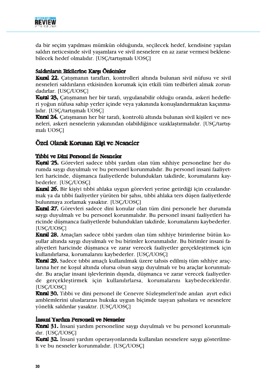

da bir seçim yapılması mümkün olduğunda, seçilecek hedef, kendisine yapılan saldırı neticesinde sivil yaşamlara ve sivil nesnelere en az zarar vermesi beklenebilecek hedef olmalıdır. [USC/tartışmalı UOSC]

# Saldırıların Etkilerine Karşı Önlemler

Kural 22. Catışmanın tarafları, kontrolleri altında bulunan sivil nüfusu ve sivil nesneleri saldırıların etkisinden korumak için etkili tüm tedbirleri almak zorundadırlar. [USC/UOSC]

Kural 23. Çatışmanın her bir tarafı, uygulanabilir olduğu oranda, askeri hedefleri yoğun nüfusa sahip yerler içinde veya yakınında konuşlandırmaktan kaçınmalıdır. [USC/tartışmalı UOSC]

Kural 24. Çatışmanın her bir tarafı, kontrolü altında bulunan sivil kişileri ve nesneleri, askeri nesnelerin yakınından olabildiğince uzaklaştırmalıdır. [USC/tartışmalı UOSCl

# Özel Olarak Korunan Kişi ve Nesneler

# Tibbi ve Dini Personel ile Nesneler

Kural 25. Görevleri sadece tibbi yardım olan tüm sıhhiye personeline her durumda saygı duyulmalı ve bu personel korunmalıdır. Bu personel insani faaliyetleri haricinde, düşmanca faaliyetlerde bulundukları takdirde, korumalarını kaybederler. [USC/UOSC]

Kural 26. Bir kişiyi tıbbi ahlaka uygun görevleri yerine getirdiği için cezalandırmak va da tıbbi faaliyetler yürüten bir şahsı, tıbbi ahlaka ters düşen faaliyetlerde bulunmaya zorlamak yasaktır. [USC/UOSC]

Kural 27. Görevleri sadece dini konular olan tüm dini personele her durumda saygı duyulmalı ve bu personel korunmalıdır. Bu personel insani faaliyetleri haricinde düşmanca faaliyetlerde bulundukları takdirde, korumalarını kaybederler. [USC/UOSC]

Kural 28. Amaçları sadece tibbi yardım olan tüm sıhhiye birimlerine bütün kosullar altında saygı duyulmalı ve bu birimler korunmalıdır. Bu birimler insani faaliyetleri haricinde düşmanca ve zarar verecek faaliyetler gerçekleştirmek için kullanılırlarsa, korumalarını kaybederler. [USC/UOSC]

Kural 29. Sadece tibbi amaçlı kullanılmak üzere tahsis edilmiş tüm sıhhiye araçlarına her ne kosul altında olursa olsun saygı duyulmalı ve bu araçlar korunmalıdır. Bu araçlar insani işlevlerinin dışında, düşmanca ve zarar verecek faaliyetlerde gerçekleştirmek için kullanılırlarsa, korumalarını kaybedeceklerdir. [USC/UOSC]

Kural 30. Tibbi ve dini personel ile Cenevre Sözlesmeleri'nde anılan avırt edici amblemlerini uluslararası hukuka uygun biçimde taşıyan şahıslara ve nesnelere yönelik saldırılar yasaktır. [USC/UOSC]

# Insant Yardım Personeli ve Nesneler

**Kural 31.** İnsani yardım personeline saygı duyulmalı ve bu personel korunmalıdır. [USC/UOSC]

**Kural 32.** İnsani yardım operasyonlarında kullanılan nesnelere saygı gösterilmeli ve bu nesneler korunmalıdır. [USC/UOSC]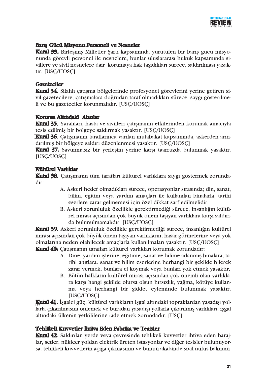

# Barış Gücü Misyonu Personeli ve Nesneler

Kural 33. Birleşmiş Milletler Şartı kapsamında yürütülen bir barış gücü misyonunda görevli personel ile nesnelere, bunlar uluslararası hukuk kapsamında sivillere ve sivil nesnelere dair korumaya hak taşıdıkları sürece, saldırılması yasaktır. [USC/UOSC]

# Gazetecller

Kural 34. Silahlı çatışma bölgelerinde profesyonel görevlerini yerine getiren sivil gazetecilere; çatışmalara doğrudan taraf olmadıkları sürece, saygı gösterilmeli ve bu gazeteciler korunmalıdır. [USC/UOSC]

# Koruma Altındaki Alanlar

Kural 35. Yaralıları, hasta ve sivilleri çatışmanın etkilerinden korumak amacıyla tesis edilmiş bir bölgeye saldırmak yasaktır. [USC/UOSC]

Kural 36. Catismanın taraflarınca varılan mutabakat kapsamında, askerden arındırılmış bir bölgeye saldırı düzenlenmesi yasaktır. [USC/UOSC]

Kural 37. Savunmasız bir yerleşim yerine karşı taarruzda bulunmak yasaktır. [USC/UOSC]

# **Kültürel Varlıklar**

Kural 38. Çatışmanın tüm tarafları kültürel varlıklara saygı göstermek zorundadır:

- A. Askeri hedef olmadıkları sürece, operasyonlar sırasında; din, sanat, bilim, eğitim veya yardım amaçları ile kullanılan binalarla, tarihi eserlere zarar gelmemesi için özel dikkat sarf edilmelidir.
- B. Askeri zorunluluk özellikle gerektirmediği sürece, insanlığın kültürel mirası açısından çok büyük önem taşıyan varlıklara karşı saldırıda bulunulmamalıdır. [USC/UOSC]

Kural 39. Askeri zorunluluk özellikle gerektirmediği sürece, insanlığın kültürel mirası açısından çok büyük önem taşıyan varlıkların, hasar görmelerine veya yok olmalarına neden olabilecek amaçlarla kullanılmaları yasaktır. [USC/UOSC]

Kural 40. Catısmanın tarafları kültürel varlıkları korumak zorundadır:

- A. Dine, yardım işlerine, eğitime, sanat ve bilime adanmış binalara, tarihi anıtlara, sanat ve bilim eserlerine herhangi bir sekilde bilerek zarar vermek, bunlara el koymak veya bunları yok etmek yasaktır.
- B. Bütün halkların kültürel mirası açısından çok önemli olan varlıklara karşı hangi şekilde olursa olsun hırsızlık, yağma, kötüye kullanma veya herhangi bir şiddet eyleminde bulunmak yasaktır. [USC/UOSC]

Kutal 41, İsgalci güç, kültürel varlıkların işgal altındaki topraklardan yasadışı yollarla çıkarılmasını önlemek ve buradan yasadışı yollarla çıkarılmış varlıkları, işgal altındaki ülkenin yetkililerine iade etmek zorundadır. [USC]

# Tehlikeli Kuvvetler İhtiva Eden Fabrika ve Tesisler

Kural 42. Saldırılan yerde veya çevresinde tehlikeli kuvvetler ihtiva eden barajlar, setler, nükleer yoldan elektrik üreten istasyonlar ve diğer tesisler bulunuyorsa: tehlikeli kuvvetlerin açığa çıkmasının ve bunun akabinde sivil nüfus bakımın-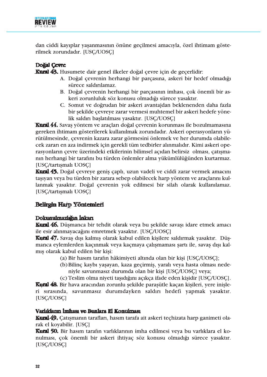

dan ciddi kayıplar yaşanmasının önüne geçilmesi amacıyla, özel ihtimam gösterilmek zorundadır. [USC/UOSC]

# Doğal Çevre

Kural 43. Husumete dair genel ilkeler doğal çevre için de geçerlidir:

- A. Doğal çevrenin herhangi bir parçasına, askeri bir hedef olmadığı sürece saldırılamaz.
- B. Doğal çevrenin herhangi bir parçasının imhası, çok önemli bir askeri zorunluluk söz konusu olmadığı sürece yasaktır.
- C. Somut ve doğrudan bir askeri avantajdan beklenenden daha fazla bir şekilde çevreye zarar vermesi muhtemel bir askeri hedefe yönelik saldırı başlatılması yasaktır. [USC/UOSC]

Kural 44. Savas vöntem ve araçları doğal çevrenin korunması ile bozulmamasına gereken ihtimam gösterilerek kullanılmak zorundadır. Askeri operasyonların yürütülmesinde, çevrenin kazara zarar görmesini önlemek ve her durumda olabilecek zararı en aza indirmek için gerekli tüm tedbirler alınmalıdır. Kimi askeri operasyonların çevre üzerindeki etkilerinin bilimsel açıdan belirsiz olması, çatışmanın herhangi bir tarafını bu türden önlemler alma yükümlülüğünden kurtarmaz. [USC/tartışmalı UOSC]

Kural 45. Doğal çevreye geniş çaplı, uzun vadeli ve ciddi zarar vermek amacını taşıyan veya bu türden bir zarara sebep olabilecek harp yöntem ve araçlarını kullanmak yasaktır. Doğal çevrenin yok edilmesi bir silah olarak kullanılamaz. [USC/tartışmalı UOSC]

# **Belirgin Harp Yöntemleri**

# Dokunulmazlığın İnkarı

Kural 46. Düşmanca bir tehdit olarak veya bu şekilde savaşı idare etmek amacı ile esir alınmayacağını emretmek yasaktır. [USÇ/UOSÇ]

Kural 47. Savas dışı kalmış olarak kabul edilen kişilere saldırmak yasaktır. Düsmanca eylemlerden kaçınmak veya kaçmaya çalışmaması şartı ile, savaş dışı kalmış olarak kabul edilen bir kişi:

- (a) Bir hasım tarafın hâkimiyeti altında olan bir kişi [USC/UOSC];
- (b) Bilinç kaybı yaşayan, kaza geçirmiş, yaralı veya hasta olması nedeniyle savunmasız durumda olan bir kişi [USC/UOSC] veya;
- (c) Teslim olma niyeti taşıdığını açıkça ifade eden kişidir [USC/UOSC].

Kural 48. Bir hava aracından zorunlu şekilde paraşütle kaçan kişileri, yere inişleri sırasında, savunmasız durumdayken saldırı hedefi yapmak yasaktır. [USC/UOSC]

# Varlıkların İmhası ve Bunlara El Konulması

Kural 49. Catismanın tarafları, hasım tarafa ait askeri teçhizata harp ganimeti olarak el koyabilir. [USC]

Kural 50. Bir hasım tarafın varlıklarının imha edilmesi veya bu varlıklara el konulması, çok önemli bir askeri ihtiyaç söz konusu olmadığı sürece yasaktır. [USC/UOSC]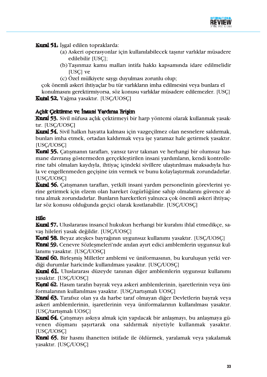

**Kural 51.** Isgal edilen topraklarda:

- (a) Askeri operasyonlar için kullanılabilecek tasınır varlıklar müsadere edilebilir [USC];
- (b) Tasınmaz kamu malları intifa hakkı kapsamında idare edilmelidir [USC] ve
- (c) Özel mülkiyete saygı duyulması zorunlu olup;

çok önemli askeri ihtiyaçlar bu tür varlıkların imha edilmesini veya bunlara el konulmasını gerektirmiyorsa, söz konusu varlıklar müsadere edilemezler. [USC]

**Kural 52.** Yağma yasaktır. [USC/UOSC]

# Açlık Çektirme ve İnsani Yardıma Erişim

Kural 53. Sivil nüfusa açlık çektirmeyi bir harp yöntemi olarak kullanmak yasaktır. [USC/UOSC]

Kural 54. Sivil halkın hayatta kalması için vazgeçilmez olan nesnelere saldırmak, bunları imha etmek, ortadan kaldırmak veya işe yaramaz hale getirmek yasaktır. [USC/UOSC]

Kural 55. Çatışmanın tarafları, yansız tavır takınan ve herhangi bir olumsuz hasmane davranış göstermeden gerçekleştirilen insani yardımların, kendi kontrollerine tabi olmaları kaydıyla, ihtiyaç içindeki sivillere ulaştırılması maksadıyla hızla ve engellenmeden geçişine izin vermek ve bunu kolaylaştırmak zorundadırlar. [USC/UOSC]

Kural 56, Çatışmanın tarafları, yetkili insani yardım personelinin görevlerini yerine getirmek için elzem olan hareket özgürlüğüne sahip olmalarını güvence altına almak zorundadırlar. Bunların hareketleri yalnızca çok önemli askeri ihtiyaçlar söz konusu olduğunda geçici olarak kısıtlanabilir. [USC/UOSC]

# **Hile**

**Kural 57.** Uluslararası insancıl hukukun herhangi bir kuralını ihlal etmedikçe, savaş hileleri yasak değildir. [USC/UOSC]

Kural 58. Beyaz ateskes bayrağının uygunsuz kullanımı yasaktır. [USC/UOSC]

Kural 59. Cenevre Sözleşmeleri'nde anılan ayırt edici amblemlerin uygunsuz kullanımı yasaktır. [USC/UOSC]

Kural 60. Birlesmis Milletler amblemi ve üniformasının, bu kurulusun yetki verdiği durumlar haricinde kullanılması yasaktır. [USC/UOSC]

Kural 61. Uluslararası düzeyde tanınan diğer amblemlerin uygunsuz kullanımı yasaktır. [USC/UOSC]

Kural 62. Hasım tarafın bayrak veya askeri amblemlerinin, işaretlerinin veya üniformalarının kullanılması yasaktır. [USC/tartışmalı UOSC]

Kural 63. Tarafsız olan ya da harbe taraf olmayan diğer Devletlerin bayrak veya askeri amblemlerinin, işaretlerinin veya üniformalarının kullanılması yasaktır. **[USC/tartismali UOSC]** 

**Kural 64.** Çatışmayı askıya almak için yapılacak bir anlaşmayı, bu anlaşmaya güvenen düşmanı şaşırtarak ona saldırmak niyetiyle kullanmak yasaktır. [USC/UOSC]

Kural 65. Bir hasmı ihanetten istifade ile öldürmek, yaralamak veya yakalamak yasaktır. [USC/UOSC]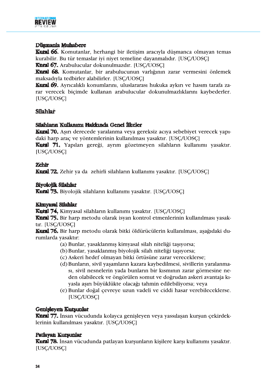

## Düşmanla Muhabere

**Kural 66.** Komutanlar, herhangi bir iletisim aracıyla düşmanca olmayan temas kurabilir. Bu tür temaslar iyi niyet temeline dayanmalıdır. [USC/UOSC]

Kural 67. Arabulucular dokunulmazdır. [USC/UOSC]

Kural 68. Komutanlar, bir arabulucunun varlığının zarar vermesini önlemek maksadıyla tedbirler alabilirler. [USC/UOSC]

Kural 69. Ayrıcalıklı konumlarını, uluslararası hukuka aykırı ve hasım tarafa zarar verecek biçimde kullanan arabulucular dokunulmazlıklarını kaybederler. [USC/UOSC]

# Silahlar

# Silahların Kullanımı Hakkında Genel İlkeler

Kural 70. Aşırı derecede yaralanma veya gereksiz acıya sebebiyet verecek yapıdaki harp araç ve yöntemlerinin kullanılması yasaktır. [USC/UOSC]

Kuml 71, Yapıları gereği, ayrım gözetmeyen silahların kullanımı yasaktır. [USC/UOSC]

# **Zehir**

Kural 72. Zehir ya da zehirli silahların kullanımı yasaktır. [USC/UOSC]

# **Biyoloiik Silahlar**

Kural 73. Biyolojik silahların kullanımı yasaktır. [USC/UOSC]

# **Kimvasal Silahlar**

Kuml 74. Kimyasal silahların kullanımı yasaktır. [USÇ/UOSÇ]

Kural 75. Bir harp metodu olarak isyan kontrol etmenlerinin kullanılması yasaktır. [USC/UOSC]

**Kural 76.** Bir harp metodu olarak bitki öldürücülerin kullanılması, asağıdaki durumlarda vasaktır:

- (a) Bunlar, yasaklanmış kimyasal silah niteliği taşıyorsa;
- (b) Bunlar, yasaklanmış biyolojik silah niteliği taşıyorsa;
- (c) Askeri hedef olmayan bitki örtüsüne zarar vereceklerse;
- (d) Bunların, sivil yaşamların kazara kaybedilmesi, sivillerin yaralanması, sivil nesnelerin yada bunların bir kısmının zarar görmesine neden olabilecek ve öngörülen somut ve doğrudan askeri avantaja kıyasla asırı büyüklükte olacağı tahmin edilebiliyorsa; veya
- (e) Bunlar doğal çevreye uzun vadeli ve ciddi hasar verebileceklerse. [USC/UOSC]

# Genisleyen Kutsunlat

Kural 77. İnsan vücudunda kolayca genişleyen veya yassılaşan kurşun çekirdeklerinin kullanılması yasaktır. [USC/UOSC]

# **Patlayan Kurşunlar**

Kural 78. İnsan vücudunda patlayan kurşunların kişilere karşı kullanımı yasaktır. [USC/UOSC]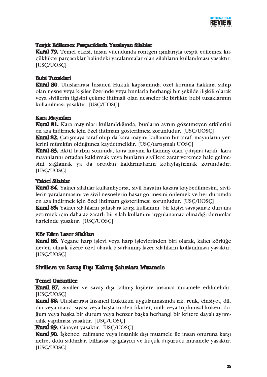

# Tespit Edilemez Parçacıklarla Yaralayan Silahlar

Kural 79, Temel etkisi, insan vücudunda röntgen ısınlarıyla tespit edilemez küçüklükte parçacıklar halindeki yaralanmalar olan silahların kullanılması yasaktır. [USC/UOSC]

## **Bubi Tuzakları**

Kural 80. Uluslararası İnsancıl Hukuk kapsamında özel koruma hakkına sahip olan nesne veya kişiler üzerinde veya bunlarla herhangi bir şekilde ilişkili olarak veva sivillerin ilgisini çekme ihtimali olan nesneler ile birlikte bubi tuzaklarının kullanılması yasaktır. [USC/UOSC]

#### Kara Maymları

Kural 81. Kara mayınları kullanıldığında, bunların ayrım gözetmeyen etkilerini en aza indirmek için özel ihtimam gösterilmesi zorunludur. [USC/UOSC]

Kural 82. Çatışmaya taraf olup da kara mayını kullanan bir taraf, mayınların yerlerini mümkün olduğunca kaydetmelidir. [USC/tartışmalı UOSC]

Kural 83. Aktif harbin sonunda, kara mayını kullanmış olan çatışma tarafı, kara mayınlarını ortadan kaldırmak veya bunların sivillere zarar veremez hale gelmesini sağlamak ya da ortadan kaldırmalarını kolaylaştırmak zorundadır. [USC/UOSC]

## **Yakici Silahlar**

**Kural 84.** Yakıcı silahlar kullanılıyorsa, sivil hayatın kazara kaybedilmesini, sivillerin yaralanmasını ve sivil nesnelerin hasar görmesini önlemek ve her durumda en aza indirmek için özel ihtimam gösterilmesi zorunludur. [USC/UOSC] Kural 85. Yakıcı silahların şahıslara karşı kullanımı, bir kişiyi savaşamaz duruma

getirmek için daha az zararlı bir silah kullanımı uygulanamaz olmadığı durumlar haricinde yasaktır. [USC/UOSC]

#### Kör Eden Lazer Silahları

Kural 86. Yegane harp işlevi veya harp işlevlerinden biri olarak, kalıcı körlüğe neden olmak üzere özel olarak tasarlanmıs lazer silahların kullanılması vasaktır. [USC/UOSC]

# Sivillere ve Savaş Dışı Kalmış Şahıslara Muamele

# **Temel Garantiler**

Kural 87. Siviller ve savaş dışı kalmış kişilere insanca muamele edilmelidir. [USC/UOSC]

Kural 88. Uluslararası İnsancıl Hukukun uygulanmasında ırk, renk, cinsiyet, dil, din veya inanç, siyasi veya başta türden fikirler; milli veya toplumsal köken, doğum veya başka bir durum veya benzer başka herhangi bir kritere dayalı ayrımcılık yapılması yasaktır. [USC/UOSC]

Kural 89. Cinayet yasaktır. [USC/UOSC]

Kural 90. İşkence, zalimane veya insanlık dışı muamele ile insan onuruna karşı nefret dolu saldırılar, bilhassa aşağılayıcı ve küçük düşürücü muamele yasaktır. [USC/UOSC]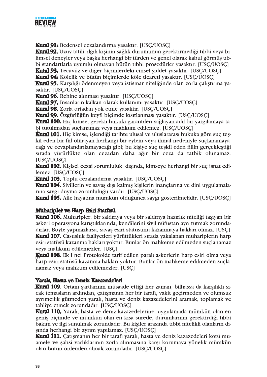

Kural 91. Bedensel cezalandırma yasaktır. [USC/UOSC]

Kural 92. Uzuv tatili, ilgili kişinin sağlık durumunun gerektirmediği tıbbi veya bilimsel deneyler veya başka herhangi bir türden ve genel olarak kabul görmüş tıbbi standartlarla uyumlu olmayan bütün tıbbi prosedürler yasaktır. [USC/UOSC]

Kural 93. Tecavüz ve diğer biçimlerdeki cinsel şiddet yasaktır. [USC/UOSC] **Kural 94.** Kölelik ve bütün biçimlerde köle ticareti yasaktır. [USC/UOSC]

Kural 95. Karşılığı ödenmeyen veya istismar niteliğinde olan zorla çalıştırma ya-

saktır. [USC/UOSC]

Kural 96. Rehine alınması yasaktır. [USC/UOSC]

Kutal 97, İnsanların kalkan olarak kullanımı yasaktır. [USC/UOSC]

Kural 98. Zorla ortadan yok etme yasaktır. [USC/UOSC]

Kural 99. Özgürlüğün keyfi biçimde kısıtlanması yasaktır. [USC/UOSC]

Kural 100. Hiç kimse, gerekli hukuki garantileri sağlayan adil bir yargılamaya tabi tutulmadan suçlanamaz veya mahkum edilemez. [USC/UOSC]

**Kural 101.** Hiç kimse, işlendiği tarihte ulusal ve uluslararası hukuka göre suç teşkil eden bir fiil olmayan herhangi bir eylem veya ihmal nedeniyle suçlanamayacağı ve cevaplandırılamayacağı gibi; bu kişiye suç teşkil eden fiilin gerçekleştiği sırada yürürlükte olan cezadan daha ağır bir ceza da tatbik olunamaz. [USC/UOSC]

Kural 102. Kişisel cezai sorumluluk dışında, kimseye herhangi bir suç isnat edilemez. [USC/UOSC]

Kural 103. Toplu cezalandırma yasaktır. [USC/UOSC]

Kural 104. Sivillerin ve savaş dışı kalmış kişilerin inançlarına ve dini uygulamalarına saygı duyma zorunluluğu vardır. [USC/UOSC]

Kural 105. Aile hayatına mümkün olduğunca saygı gösterilmelidir. [USC/UOSC]

#### Muharipler ve Harp Esiri Statüsü

Kural 106. Muharipler, bir saldırıya veya bir saldırıya hazırlık niteliği taşıyan bir askeri operasyona karıştıklarında, kendilerini sivil nüfustan ayrı tutmak zorundadırlar. Böyle yapmazlarsa, savaş esiri statüsünü kazanmaya hakları olmaz. [USC] Kural 107. Casusluk faaliyetleri yürüttükleri sırada yakalanan muhariplerin harp esiri statüsü kazanma hakları yoktur. Bunlar ön mahkeme edilmeden suclanamaz veya mahkum edilemezler. [USC]

Kuml 108. Ek I nci Protokolde tarif edilen paralı askerlerin harp esiri olma veya harp esiri statüsü kazanma hakları yoktur. Bunlar ön mahkeme edilmeden suçlanamaz veya mahkum edilemezler. [USC]

#### Yaralı, Hasta ye Deniz Kazazedelerl

Kural 109. Ortam sartlarının müsaade ettiği her zaman, bilhassa da karşılıklı sıcak temasların ardından, çatışmanın her bir tarafı, vakit geçirmeden ve olumsuz ayrımcılık gütmeden yaralı, hasta ve deniz kazazedelerini aramak, toplamak ve tahliye etmek zorundadır. [USC/UOSC]

Kural 110, Yaralı, hasta ve deniz kazazedelerine, uygulamada mümkün olan en genis biçimde ve mümkün olan en kısa sürede, durumlarının gerektirdiği tıbbi bakım ve ilgi sunulmak zorundadır. Bu kişiler arasında tıbbi nitelikli olanların dıșinda herhangi bir ayrım yapılamaz. [USC/UOSC]

Kural 111. Catısmanın her bir tarafı yaralı, hasta ve deniz kazazedeleri kötü muamele ve şahsi varlıklarının zorla alınmasına karşı korumaya yönelik mümkün olan bütün önlemleri almak zorundadır. [USC/UOSC]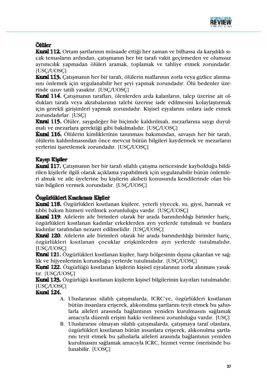

# **Ölüler**

Kural 112. Ortam sartlarının müsaade ettiği her zaman ve bilhassa da karsılıklı sıcak temasların ardından, çatışmanın her bir tarafı vakit geçirmeden ve olumsuz ayrımcılık yapmadan ölüleri aramak, toplamak ve tahliye etmek zorundadır. [USC/UOSC]

**Kural 113.** Catismanın her bir tarafı, ölülerin mallarının zorla veya gizlice alınmasını önlemek için uygulanabilir her şeyi yapmak zorundadır. Ölü bedenler üzerinde uzuv tatili yasaktır. [USC/UOSC]

Kural 114. Catışmanın tarafları, ölenlerden arda kalanların, talep üzerine ait oldukları tarafa veya akrabalarının talebi üzerine iade edilmesini kolaylaştırmak için gerekli girişimleri yapmak zorundadır. Kişisel esyalarını onlara iade etmek zorundadırlar. [USC]

Kural 115. Ölüler, saygıdeğer bir biçimde kaldırılmalı, mezarlarına saygı duyulmalı ve mezarlara gerektiği gibi bakılmalıdır. [USC/UOSC]

Kutal 116. Ölülerin kimliklerinin tanınması bakımından, savaşın her bir tarafı, ölülerin kaldırılmasından önce mevcut bütün bilgileri kaydetmek ve mezarların verlerini isaretlemek zorundadır. [USC/UOSC]

# **Kayip Kisiler**

Kural 117. Çatışmanın her bir tarafı silahlı çatışma neticesinde kaybolduğu bildirilen kişilerle ilgili olarak açıklama yapabilmek için uygulanabilir bütün önlemleri almak ve aile üvelerine bu kisilerin akıbeti konusunda kendilerinde olan bütün bilgileri vermek zorundadır. [USC/UOSC]

# Özgüdükleri Kısıtlanan Kisiler

Kutal 118. Özgürlükleri kısıtlanan kişilere, yeterli yiyecek, su, giysi, barınak ve tıbbi bakım hizmeti verilmek zorunluluğu vardır. [USC/UOSC]

Kural 119. Ailelerin aile birimleri olarak bir arada barındırıldığı birimler hariç, özgürlükleri kısıtlanan kadınlar erkeklerden ayrı yerlerde tutulmalı ve bunlara kadınlar tarafından nezaret edilmelidir. [USC/UOSC]

Kural 120. Ailelerin aile birimleri olarak bir arada barındırıldığı birimler hariç, özgürlükleri kısıtlanan çocuklar erişkinlerden ayrı yerlerde tutulmalıdır. **IUSC/UOSCI** 

**Kural 121.** Özgürlükleri kısıtlanan kişiler, harp bölgesinin dışına çıkarılan ve sağlık ve hijyenlerinin korunduğu yerlerde tutulmalıdır. [USC/UOSC]

Kutal 122. Özgürlüğü kısıtlanan kisilerin kisisel esvalarının zorla alınması vasaktır. [USC/UOSC]

Kutal 123. Özgürlüğü kısıtlanan kişilerin kişisel bilgilerinin kayıtları tutulmalıdır. [USC/UOSC]

# Kural 124.

- A. Uluslararası silahlı çatışmalarda, ICRC'ye, özgürlükleri kısıtlanan bütün insanlara erişerek, alıkonulma şartlarını teyit etmek bu şahıslarla aileleri arasında bağlantının yeniden kurulmasını sağlamak amacıyla düzenli erişim hakkı verilmesi zorunluluğu vardır. [USC]
- B. Uluslararası olmayan silahlı çatışmalarda, çatışmaya taraf olanlara, özgürlükleri kısıtlanan bütün insanlara erişerek, alıkonulma şartlarını teyit etmek bu sahıslarla aileleri arasında bağlantının yeniden kurulmasını sağlamak amacıyla ICRC, hizmet verme önerisinde bulunabilir. [UOSC]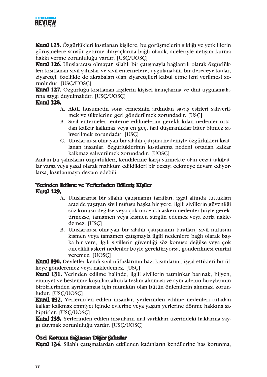

Kural 125. Özgürlükleri kısıtlanan kişilere, bu görüşmelerin sıklığı ve yetkililerin görüsmelere sansür getirme ihtiyaclarına bağlı olarak, aileleriyle iletisim kurma hakkı verme zorunluluğu vardır. [USC/UOSC]

Kural 126. Uluslararası olmayan silahlı bir çatışmayla bağlantılı olarak özgürlükleri kısıtlanan sivil şahıslar ve sivil enternelere, uygulanabilir bir dereceye kadar, ziyaretçi, özellikle de akrabaları olan ziyaretçileri kabul etme izni verilmesi zorunludur. [USC/UOSC]

**Kural 127.** Özgürlüğü kısıtlanan kişilerin kişisel inançlarına ve dini uygulamalarına saygı duyulmalıdır. [USC/UOSC]

## **Kutal 128.**

- A. Aktif husumetin sona ermesinin ardından savaş esirleri salıverilmek ve ülkelerine geri gönderilmek zorundadır. [USC]
- B. Sivil enterneler, enterne edilmelerini gerekli kılan nedenler ortadan kalkar kalkmaz veya en geç, faal düşmanlıklar biter bitmez saliverilmek zorundadır. [USC]
- C. Uluslararası olmayan bir silahlı çatışma nedeniyle özgürlükleri kısıtlanan insanlar, özgürlüklerinin kısıtlanma nedeni ortadan kalkar kalkmaz salıverilmek zorundadır. [UOSC]

Anılan bu sahısların özgürlükleri, kendilerine karsı sürmekte olan cezai takibatlar varsa veya yasal olarak mahkûm edildikleri bir cezayı çekmeye devam ediyorlarsa, kısıtlanmaya devam edebilir.

## Yerinden Edilme ve Yerlerinden Edilmiş Kişiler **Kural 129.**

- A. Uluslararası bir silahlı çatışmanın tarafları, işgal altında tuttukları arazide yasayan sivil nüfusu başka bir yere, ilgili sivillerin güvenliği söz konusu değilse veya çok öncelikli askeri nedenler böyle gerektirmezse, tamamen veya kısmen sürgün edemez veya zorla nakledemez. [USC]
- B. Uluslararası olmayan bir silahlı çatışmanın tarafları, sivil nüfusun kısmen veya tamamen çatışmayla ilgili nedenlere bağlı olarak başka bir yere, ilgili sivillerin güvenliği söz konusu değilse veya çok öncelikli askeri nedenler böyle gerektiriyorsa, gönderilmesi emrini veremez. [UOSC]

Kural 130. Devletler kendi sivil nüfuslarının bazı kısımlarını, işgal ettikleri bir ülkeve gönderemez veva nakledemez. [USC]

Kural 131. Yerinden edilme halinde, ilgili sivillerin tatminkar barınak, hijyen, emniyet ve beslenme koşulları altında teslim alınması ve aynı ailenin bireylerinin birbirlerinden avrılmaması için mümkün olan bütün önlemlerin alınması zorunludur. [USC/UOSC]

Kural 132. Yerlerinden edilen insanlar, yerlerinden edilme nedenleri ortadan kalkar kalkmaz emniyet içinde evlerine veya yasam yerlerine dönme hakkına sahiptirler. [USC/UOSC]

Kuml 133. Yerlerinden edilen insanların mal varlıkları üzerindeki haklarına saygı duymak zorunluluğu vardır. [USÇ/UOSÇ]

# Özel Koruma Sağlanan Diğer Şahıslar

Kural 134. Silahlı çatışmalardan etkilenen kadınların kendilerine has korunma,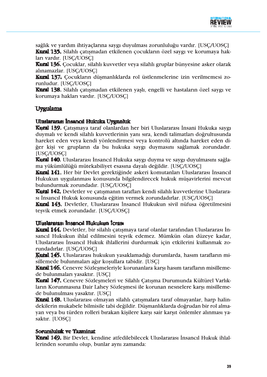

sağlık ve yardım ihtiyaçlarına saygı duyulması zorunluluğu vardır. [USC/UOSC] Kural 135. Silahlı catısmadan etkilenen çocukların özel saygı ve korumaya hakları vardır. [USC/UOSC]

Kural 136. Çocuklar, silahlı kuvvetler veya silahlı gruplar bünyesine asker olarak alınamazlar. [USC/UOSC]

Kural 137, Cocukların düşmanlıklarda rol üstlenmelerine izin verilmemesi zorunludur. [USC/UOSC]

Kural 138. Silahlı çatışmadan etkilenen yaşlı, engelli ve hastaların özel saygı ve korumava hakları vardır. [USC/UOSC]

# Uygulama

#### Uluslararası İnsancıl Hukuka Uvgunluk

Kural 139. Catısmaya taraf olanlardan her biri Uluslararası İnsani Hukuka saygı duymalı ve kendi silahlı kuvvetlerinin yanı sıra, kendi talimatları doğrultusunda hareket eden veva kendi vönlendirmesi veva kontrolü altında hareket eden diğer kişi ve grupların da bu hukuka saygı duymasını sağlamak zorundadır. [USC/UOSC]

Kural 140. Uluslararası İnsancıl Hukuka saygı duyma ve saygı duyulmasını sağlama yükümlülüğü mütekabiliyet esasına dayalı değildir. [USC/UOSC]

Kural 141. Her bir Devlet gerektiğinde askeri komutanları Uluslararası İnsancıl Hukukun uygulanması konusunda bilgilendirecek hukuk müsavirlerini mevcut bulundurmak zorundadır. [USC/UOSC]

Kuml 142. Devletler ve çatışmanın tarafları kendi silahlı kuvvetlerine Uluslararası İnsancıl Hukuk konusunda eğitim vermek zorundadırlar. [USC/UOSC]

Kural 143. Devletler, Uluslararası İnsancıl Hukukun sivil nüfusa öğretilmesini tesvik etmek zorundadır. [USC/UOSC]

#### Uluslatarası İnsancıl Hukukun İcrası

Kural 144. Devletler, bir silahlı çatışmaya taraf olanlar tarafından Uluslararası İnsancıl Hukukun ihlal edilmesini teşvik edemez. Mümkün olan düzeye kadar, Uluslararası İnsancıl Hukuk ihlallerini durdurmak için etkilerini kullanmak zorundadırlar. [USC/UOSC]

Kutal 145. Uluslararası hukukun yasaklamadığı durumlarda, hasım tarafların misillemede bulunmaları ağır koşullara tabidir. [USC]

Kural 146. Cenevre Sözlesmeleriyle korunanlara karsı hasım tarafların misillemede bulunmaları yasaktır. [USC]

Kural 147. Cenevre Sözleşmeleri ve Silahlı Çatışma Durumunda Kültürel Varlıkların Korunmasına Dair Lahev Sözlesmesi ile korunan nesnelere karsı misillemede bulunulması yasaktır. [USC]

Kural 148. Uluslararası olmayan silahlı çatışmalara taraf olmayanlar, harp halindekilerin mukabele bilmisile tabi değildir. Düşmanlıklarda doğrudan bir rol almavan veva bu türden rolleri bırakan kisilere karsı sair karsıt önlemler alınması yasaktır. [UOSC]

#### Sorumluluk ve Tazminat

Kural 149. Bir Devlet, kendine atfedilebilecek Uluslararası İnsancıl Hukuk ihlallerinden sorumlu olup, bunlar aynı zamanda: